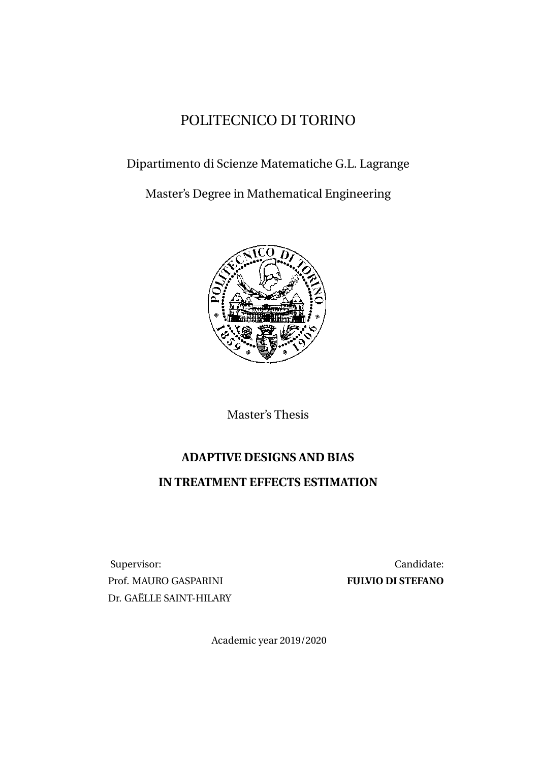### POLITECNICO DI TORINO

### Dipartimento di Scienze Matematiche G.L. Lagrange

Master's Degree in Mathematical Engineering



Master's Thesis

### **ADAPTIVE DESIGNS AND BIAS**

### **IN TREATMENT EFFECTS ESTIMATION**

Supervisor: Candidate: Prof. MAURO GASPARINI **FULVIO DI STEFANO** Dr. GAËLLE SAINT-HILARY

Academic year 2019/2020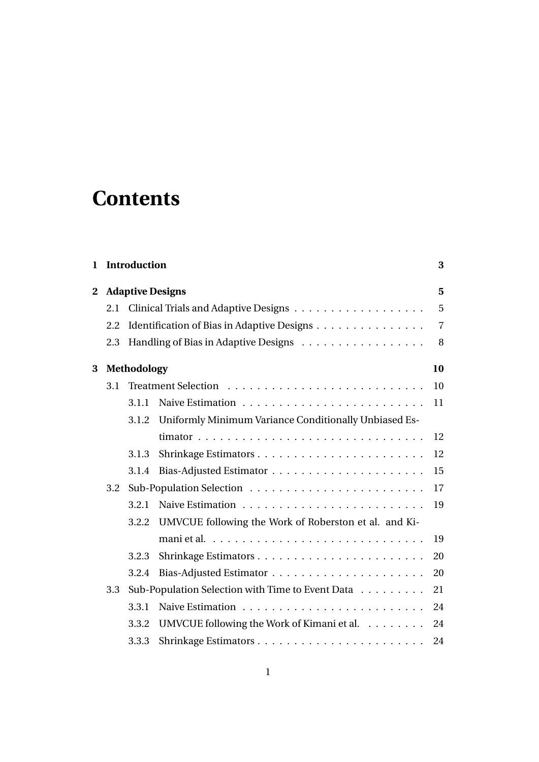# **Contents**

| $\mathbf{1}$                 |             | <b>Introduction</b> |                                                       |                |  |  |
|------------------------------|-------------|---------------------|-------------------------------------------------------|----------------|--|--|
| <b>Adaptive Designs</b><br>2 |             |                     |                                                       |                |  |  |
|                              | 2.1         |                     |                                                       | 5              |  |  |
|                              | 2.2         |                     | Identification of Bias in Adaptive Designs            | $\overline{7}$ |  |  |
|                              | 2.3         |                     | Handling of Bias in Adaptive Designs                  | 8              |  |  |
| 3                            | Methodology |                     |                                                       |                |  |  |
|                              | 3.1         |                     |                                                       | 10             |  |  |
|                              |             | 3.1.1               |                                                       | 11             |  |  |
|                              |             | 3.1.2               | Uniformly Minimum Variance Conditionally Unbiased Es- |                |  |  |
|                              |             |                     |                                                       | 12             |  |  |
|                              |             | 3.1.3               |                                                       | 12             |  |  |
|                              |             | 3.1.4               |                                                       | 15             |  |  |
|                              | 3.2         |                     |                                                       | 17             |  |  |
|                              |             | 3.2.1               |                                                       | 19             |  |  |
|                              |             | 3.2.2               | UMVCUE following the Work of Roberston et al. and Ki- |                |  |  |
|                              |             |                     |                                                       | 19             |  |  |
|                              |             | 3.2.3               |                                                       | 20             |  |  |
|                              |             | 3.2.4               |                                                       | 20             |  |  |
|                              | 3.3         |                     | Sub-Population Selection with Time to Event Data      | 21             |  |  |
|                              |             | 3.3.1               |                                                       | 24             |  |  |
|                              |             | 3.3.2               | UMVCUE following the Work of Kimani et al.            | 24             |  |  |
|                              |             | 3.3.3               |                                                       | 24             |  |  |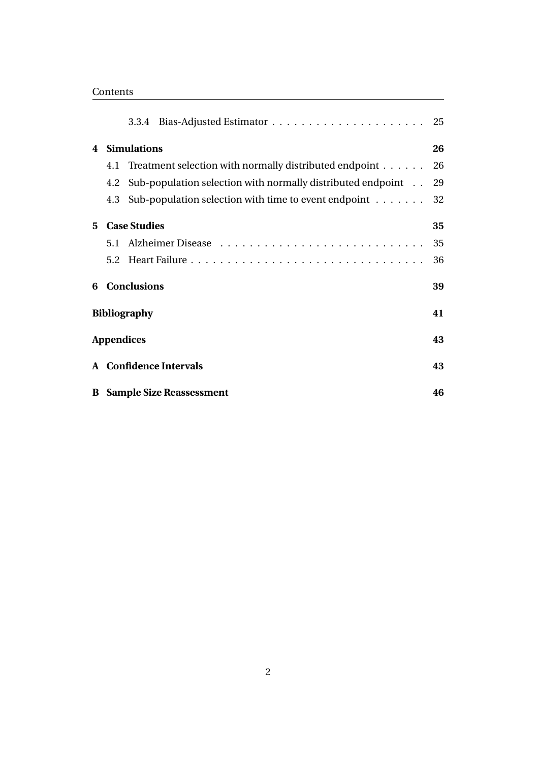| ontents |
|---------|
|---------|

|   |     |                                                                    | 25 |
|---|-----|--------------------------------------------------------------------|----|
|   |     | 4 Simulations                                                      | 26 |
|   |     | 4.1 Treatment selection with normally distributed endpoint         | 26 |
|   |     | 4.2 Sub-population selection with normally distributed endpoint    | 29 |
|   | 4.3 | Sub-population selection with time to event endpoint $\dots \dots$ | 32 |
| 5 |     | <b>Case Studies</b>                                                | 35 |
|   | 5.1 |                                                                    | 35 |
|   |     |                                                                    | 36 |
|   |     | <b>6</b> Conclusions                                               | 39 |
|   |     | <b>Bibliography</b>                                                | 41 |
|   |     | <b>Appendices</b>                                                  | 43 |
|   |     | A Confidence Intervals                                             | 43 |
|   |     | <b>B</b> Sample Size Reassessment                                  | 46 |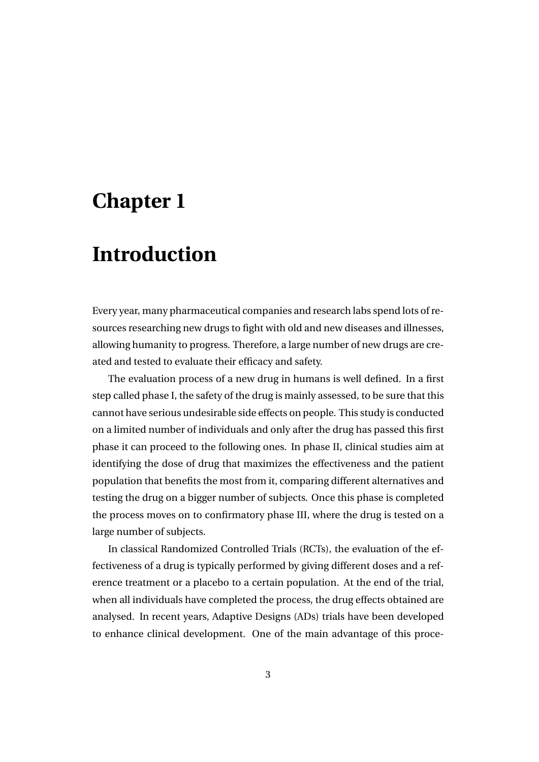## **Chapter 1**

## **Introduction**

Every year, many pharmaceutical companies and research labs spend lots of resources researching new drugs to fight with old and new diseases and illnesses, allowing humanity to progress. Therefore, a large number of new drugs are created and tested to evaluate their efficacy and safety.

The evaluation process of a new drug in humans is well defined. In a first step called phase I, the safety of the drug is mainly assessed, to be sure that this cannot have serious undesirable side effects on people. This study is conducted on a limited number of individuals and only after the drug has passed this first phase it can proceed to the following ones. In phase II, clinical studies aim at identifying the dose of drug that maximizes the effectiveness and the patient population that benefits the most from it, comparing different alternatives and testing the drug on a bigger number of subjects. Once this phase is completed the process moves on to confirmatory phase III, where the drug is tested on a large number of subjects.

In classical Randomized Controlled Trials (RCTs), the evaluation of the effectiveness of a drug is typically performed by giving different doses and a reference treatment or a placebo to a certain population. At the end of the trial, when all individuals have completed the process, the drug effects obtained are analysed. In recent years, Adaptive Designs (ADs) trials have been developed to enhance clinical development. One of the main advantage of this proce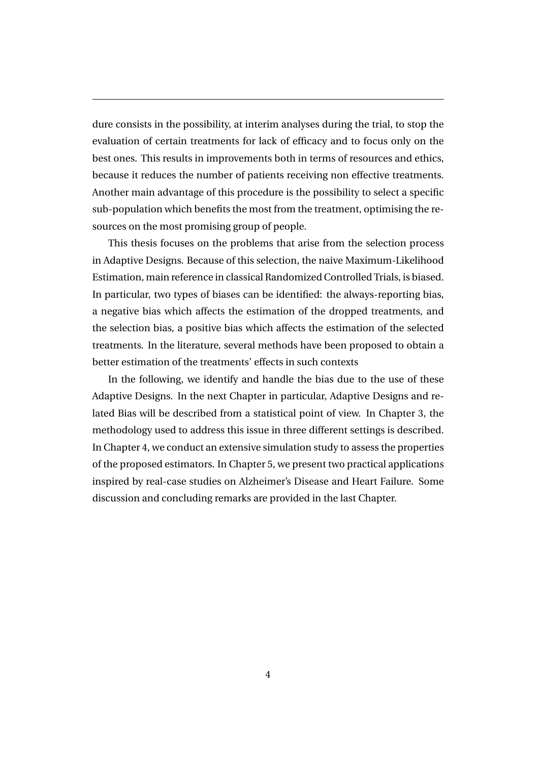dure consists in the possibility, at interim analyses during the trial, to stop the evaluation of certain treatments for lack of efficacy and to focus only on the best ones. This results in improvements both in terms of resources and ethics, because it reduces the number of patients receiving non effective treatments. Another main advantage of this procedure is the possibility to select a specific sub-population which benefits the most from the treatment, optimising the resources on the most promising group of people.

This thesis focuses on the problems that arise from the selection process in Adaptive Designs. Because of this selection, the naive Maximum-Likelihood Estimation, main reference in classical Randomized Controlled Trials, is biased. In particular, two types of biases can be identified: the always-reporting bias, a negative bias which affects the estimation of the dropped treatments, and the selection bias, a positive bias which affects the estimation of the selected treatments. In the literature, several methods have been proposed to obtain a better estimation of the treatments' effects in such contexts

In the following, we identify and handle the bias due to the use of these Adaptive Designs. In the next Chapter in particular, Adaptive Designs and related Bias will be described from a statistical point of view. In Chapter 3, the methodology used to address this issue in three different settings is described. In Chapter 4, we conduct an extensive simulation study to assess the properties of the proposed estimators. In Chapter 5, we present two practical applications inspired by real-case studies on Alzheimer's Disease and Heart Failure. Some discussion and concluding remarks are provided in the last Chapter.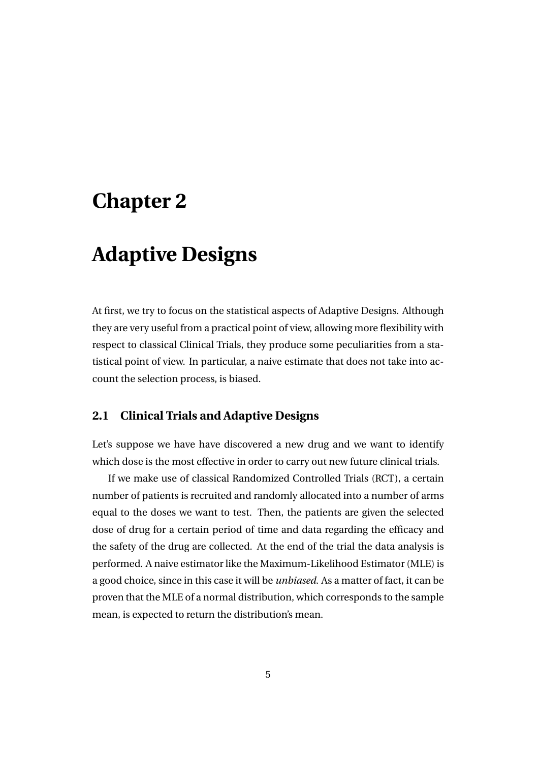### **Chapter 2**

## **Adaptive Designs**

At first, we try to focus on the statistical aspects of Adaptive Designs. Although they are very useful from a practical point of view, allowing more flexibility with respect to classical Clinical Trials, they produce some peculiarities from a statistical point of view. In particular, a naive estimate that does not take into account the selection process, is biased.

#### **2.1 Clinical Trials and Adaptive Designs**

Let's suppose we have have discovered a new drug and we want to identify which dose is the most effective in order to carry out new future clinical trials.

If we make use of classical Randomized Controlled Trials (RCT), a certain number of patients is recruited and randomly allocated into a number of arms equal to the doses we want to test. Then, the patients are given the selected dose of drug for a certain period of time and data regarding the efficacy and the safety of the drug are collected. At the end of the trial the data analysis is performed. A naive estimator like the Maximum-Likelihood Estimator (MLE) is a good choice, since in this case it will be *unbiased*. As a matter of fact, it can be proven that the MLE of a normal distribution, which corresponds to the sample mean, is expected to return the distribution's mean.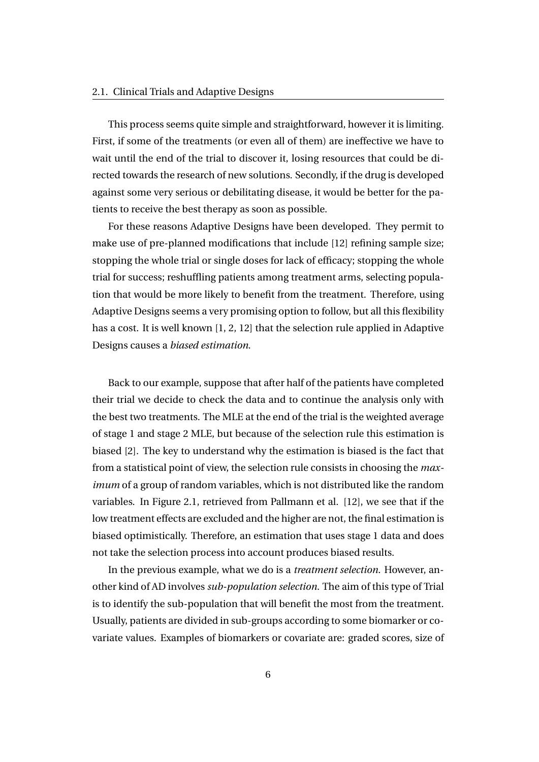#### 2.1. Clinical Trials and Adaptive Designs

This process seems quite simple and straightforward, however it is limiting. First, if some of the treatments (or even all of them) are ineffective we have to wait until the end of the trial to discover it, losing resources that could be directed towards the research of new solutions. Secondly, if the drug is developed against some very serious or debilitating disease, it would be better for the patients to receive the best therapy as soon as possible.

For these reasons Adaptive Designs have been developed. They permit to make use of pre-planned modifications that include [12] refining sample size; stopping the whole trial or single doses for lack of efficacy; stopping the whole trial for success; reshuffling patients among treatment arms, selecting population that would be more likely to benefit from the treatment. Therefore, using Adaptive Designs seems a very promising option to follow, but all this flexibility has a cost. It is well known [1, 2, 12] that the selection rule applied in Adaptive Designs causes a *biased estimation*.

Back to our example, suppose that after half of the patients have completed their trial we decide to check the data and to continue the analysis only with the best two treatments. The MLE at the end of the trial is the weighted average of stage 1 and stage 2 MLE, but because of the selection rule this estimation is biased [2]. The key to understand why the estimation is biased is the fact that from a statistical point of view, the selection rule consists in choosing the *maximum* of a group of random variables, which is not distributed like the random variables. In Figure 2.1, retrieved from Pallmann et al. [12], we see that if the low treatment effects are excluded and the higher are not, the final estimation is biased optimistically. Therefore, an estimation that uses stage 1 data and does not take the selection process into account produces biased results.

In the previous example, what we do is a *treatment selection*. However, another kind of AD involves *sub-population selection*. The aim of this type of Trial is to identify the sub-population that will benefit the most from the treatment. Usually, patients are divided in sub-groups according to some biomarker or covariate values. Examples of biomarkers or covariate are: graded scores, size of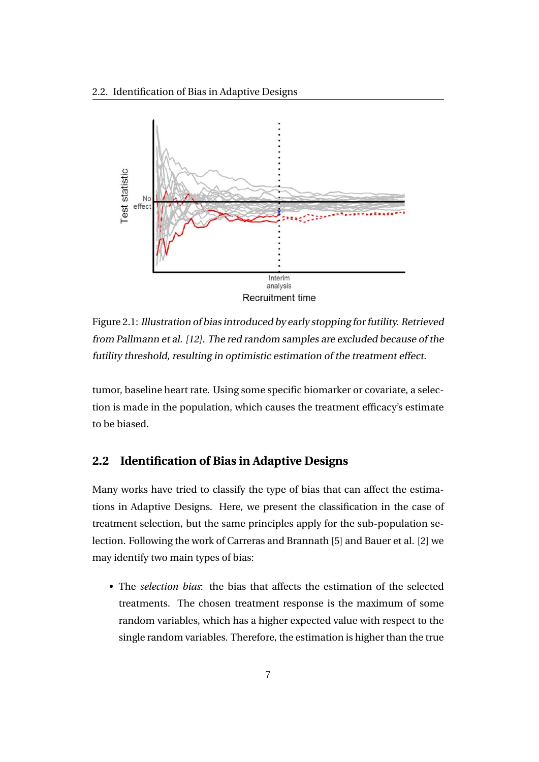

Figure 2.1: Illustration of bias introduced by early stopping for futility. Retrieved from Pallmann et al. [12]. The red random samples are excluded because of the futility threshold, resulting in optimistic estimation of the treatment effect.

tumor, baseline heart rate. Using some specific biomarker or covariate, a selection is made in the population, which causes the treatment efficacy's estimate to be biased.

#### **2.2 Identification of Bias in Adaptive Designs**

Many works have tried to classify the type of bias that can affect the estimations in Adaptive Designs. Here, we present the classification in the case of treatment selection, but the same principles apply for the sub-population selection. Following the work of Carreras and Brannath [5] and Bauer et al. [2] we may identify two main types of bias:

• The *selection bias*: the bias that affects the estimation of the selected treatments. The chosen treatment response is the maximum of some random variables, which has a higher expected value with respect to the single random variables. Therefore, the estimation is higher than the true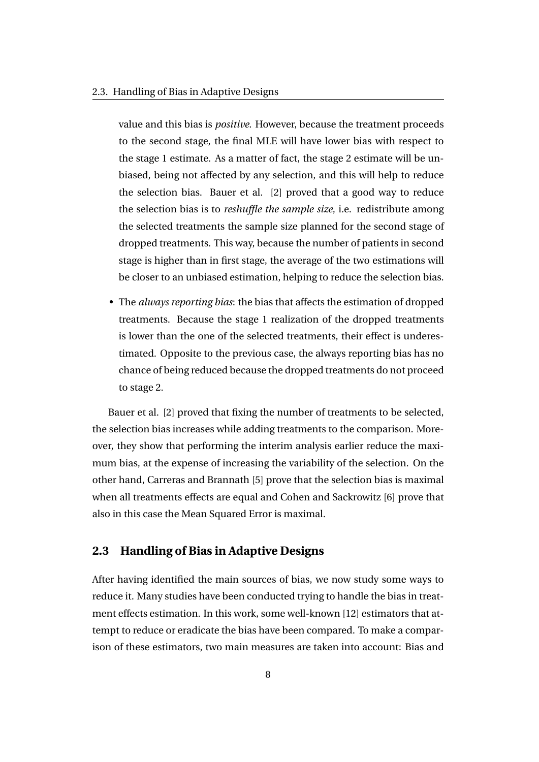value and this bias is *positive*. However, because the treatment proceeds to the second stage, the final MLE will have lower bias with respect to the stage 1 estimate. As a matter of fact, the stage 2 estimate will be unbiased, being not affected by any selection, and this will help to reduce the selection bias. Bauer et al. [2] proved that a good way to reduce the selection bias is to *reshuffle the sample size*, i.e. redistribute among the selected treatments the sample size planned for the second stage of dropped treatments. This way, because the number of patients in second stage is higher than in first stage, the average of the two estimations will be closer to an unbiased estimation, helping to reduce the selection bias.

• The *always reporting bias*: the bias that affects the estimation of dropped treatments. Because the stage 1 realization of the dropped treatments is lower than the one of the selected treatments, their effect is underestimated. Opposite to the previous case, the always reporting bias has no chance of being reduced because the dropped treatments do not proceed to stage 2.

Bauer et al. [2] proved that fixing the number of treatments to be selected, the selection bias increases while adding treatments to the comparison. Moreover, they show that performing the interim analysis earlier reduce the maximum bias, at the expense of increasing the variability of the selection. On the other hand, Carreras and Brannath [5] prove that the selection bias is maximal when all treatments effects are equal and Cohen and Sackrowitz [6] prove that also in this case the Mean Squared Error is maximal.

#### **2.3 Handling of Bias in Adaptive Designs**

After having identified the main sources of bias, we now study some ways to reduce it. Many studies have been conducted trying to handle the bias in treatment effects estimation. In this work, some well-known [12] estimators that attempt to reduce or eradicate the bias have been compared. To make a comparison of these estimators, two main measures are taken into account: Bias and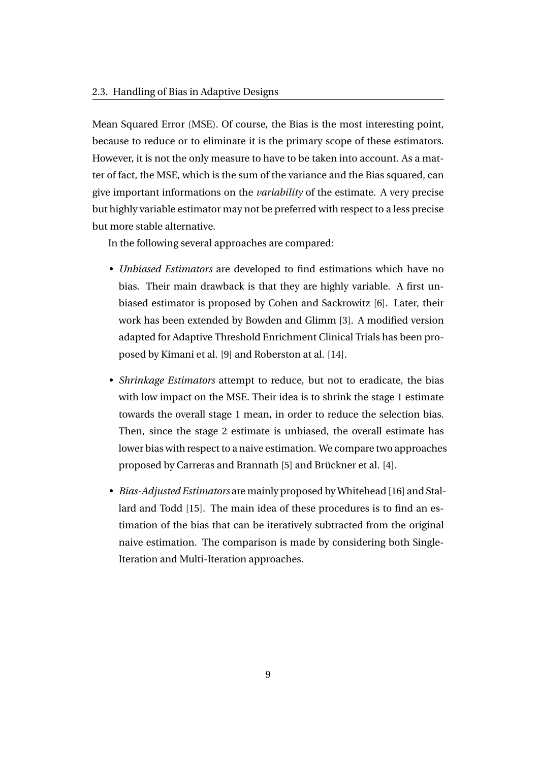Mean Squared Error (MSE). Of course, the Bias is the most interesting point, because to reduce or to eliminate it is the primary scope of these estimators. However, it is not the only measure to have to be taken into account. As a matter of fact, the MSE, which is the sum of the variance and the Bias squared, can give important informations on the *variability* of the estimate. A very precise but highly variable estimator may not be preferred with respect to a less precise but more stable alternative.

In the following several approaches are compared:

- *Unbiased Estimators* are developed to find estimations which have no bias. Their main drawback is that they are highly variable. A first unbiased estimator is proposed by Cohen and Sackrowitz [6]. Later, their work has been extended by Bowden and Glimm [3]. A modified version adapted for Adaptive Threshold Enrichment Clinical Trials has been proposed by Kimani et al. [9] and Roberston at al. [14].
- *Shrinkage Estimators* attempt to reduce, but not to eradicate, the bias with low impact on the MSE. Their idea is to shrink the stage 1 estimate towards the overall stage 1 mean, in order to reduce the selection bias. Then, since the stage 2 estimate is unbiased, the overall estimate has lower bias with respect to a naive estimation. We compare two approaches proposed by Carreras and Brannath [5] and Brückner et al. [4].
- *Bias-Adjusted Estimators* are mainly proposed by Whitehead [16] and Stallard and Todd [15]. The main idea of these procedures is to find an estimation of the bias that can be iteratively subtracted from the original naive estimation. The comparison is made by considering both Single-Iteration and Multi-Iteration approaches.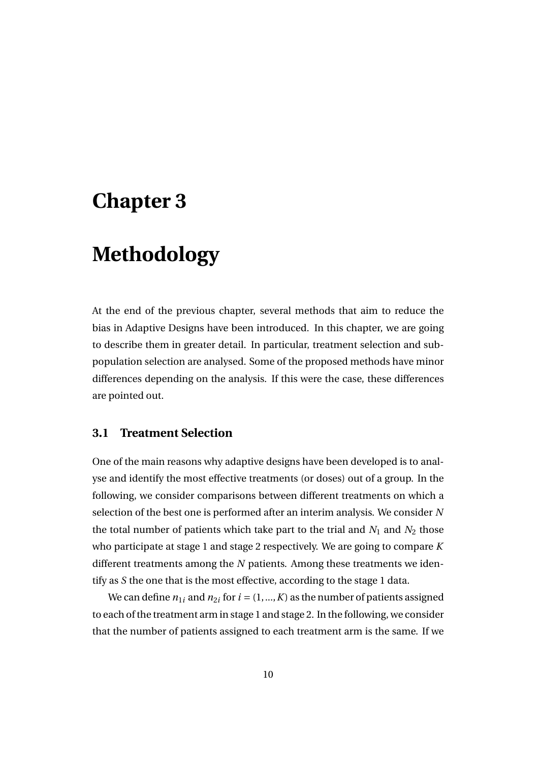### **Chapter 3**

# **Methodology**

At the end of the previous chapter, several methods that aim to reduce the bias in Adaptive Designs have been introduced. In this chapter, we are going to describe them in greater detail. In particular, treatment selection and subpopulation selection are analysed. Some of the proposed methods have minor differences depending on the analysis. If this were the case, these differences are pointed out.

#### **3.1 Treatment Selection**

One of the main reasons why adaptive designs have been developed is to analyse and identify the most effective treatments (or doses) out of a group. In the following, we consider comparisons between different treatments on which a selection of the best one is performed after an interim analysis. We consider *N* the total number of patients which take part to the trial and  $N_1$  and  $N_2$  those who participate at stage 1 and stage 2 respectively. We are going to compare *K* different treatments among the *N* patients. Among these treatments we identify as *S* the one that is the most effective, according to the stage 1 data.

We can define  $n_{1i}$  and  $n_{2i}$  for  $i = (1, ..., K)$  as the number of patients assigned to each of the treatment arm in stage 1 and stage 2. In the following, we consider that the number of patients assigned to each treatment arm is the same. If we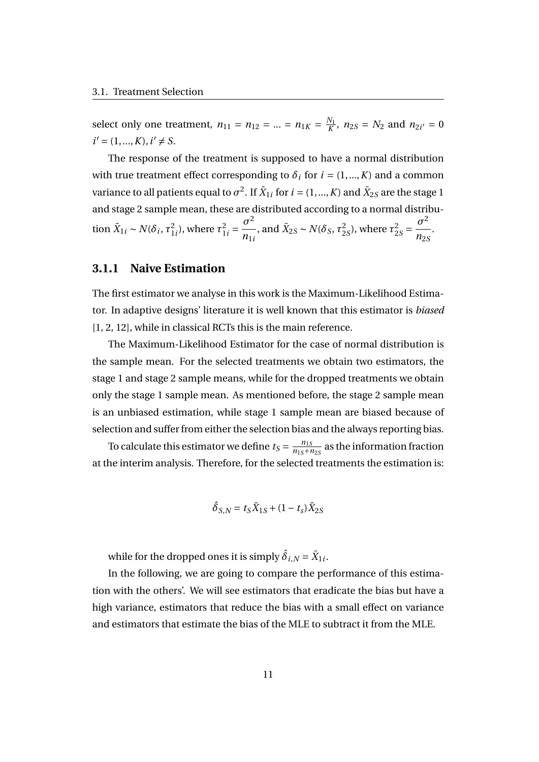select only one treatment,  $n_{11} = n_{12} = ... = n_{1K} = \frac{N_1}{K}$  $\frac{N_1}{K}$ ,  $n_{2S} = N_2$  and  $n_{2i'} = 0$  $i' = (1, ..., K), i' \neq S.$ 

The response of the treatment is supposed to have a normal distribution with true treatment effect corresponding to  $\delta_i$  for  $i = (1, ..., K)$  and a common variance to all patients equal to  $\sigma^2$ . If  $\bar X_{1i}$  for  $i=(1,...,K)$  and  $\bar X_{2S}$  are the stage 1 and stage 2 sample mean, these are distributed according to a normal distribution  $\bar{X}_{1i} \sim N(\delta_i, \tau_1^2)$  $\frac{2}{1i}$ ), where  $\tau_1^2$  $\frac{2}{1i} = \frac{\sigma^2}{n}$ *n*1*<sup>i</sup>* , and  $\bar{X}_{2S} \sim N(\delta_S, \tau_2^2)$  $^{2}_{2S}$ ), where  $\tau^2_{2S}$  $\frac{2}{2S} = \frac{\sigma^2}{n_S}$ *n*2*<sup>S</sup>* .

#### **3.1.1 Naive Estimation**

The first estimator we analyse in this work is the Maximum-Likelihood Estimator. In adaptive designs' literature it is well known that this estimator is *biased* [1, 2, 12], while in classical RCTs this is the main reference.

The Maximum-Likelihood Estimator for the case of normal distribution is the sample mean. For the selected treatments we obtain two estimators, the stage 1 and stage 2 sample means, while for the dropped treatments we obtain only the stage 1 sample mean. As mentioned before, the stage 2 sample mean is an unbiased estimation, while stage 1 sample mean are biased because of selection and suffer from either the selection bias and the always reporting bias.

To calculate this estimator we define  $t_S = \frac{n_{1S}}{n_{1S}+n_{2S}}$  as the information fraction at the interim analysis. Therefore, for the selected treatments the estimation is:

$$
\hat{\delta}_{S,N} = t_S \bar{X}_{1S} + (1 - t_s) \bar{X}_{2S}
$$

while for the dropped ones it is simply  $\hat{\delta}_{i,N}$  =  $\bar{X}_{1i}$ .

In the following, we are going to compare the performance of this estimation with the others'. We will see estimators that eradicate the bias but have a high variance, estimators that reduce the bias with a small effect on variance and estimators that estimate the bias of the MLE to subtract it from the MLE.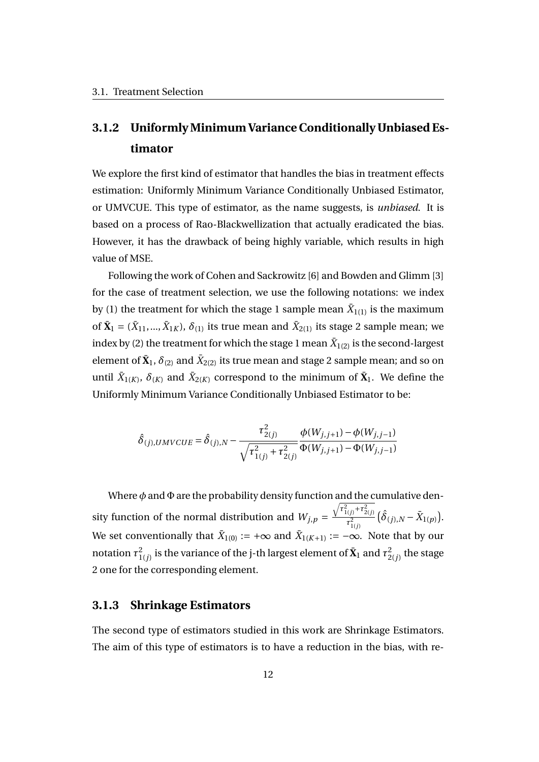### **3.1.2 Uniformly Minimum Variance Conditionally Unbiased Estimator**

We explore the first kind of estimator that handles the bias in treatment effects estimation: Uniformly Minimum Variance Conditionally Unbiased Estimator, or UMVCUE. This type of estimator, as the name suggests, is *unbiased*. It is based on a process of Rao-Blackwellization that actually eradicated the bias. However, it has the drawback of being highly variable, which results in high value of MSE.

Following the work of Cohen and Sackrowitz [6] and Bowden and Glimm [3] for the case of treatment selection, we use the following notations: we index by (1) the treatment for which the stage 1 sample mean  $\bar{X}_{1(1)}$  is the maximum of  $\bar{\mathbf{X}}_1 = (\bar{X}_{11},...,\bar{X}_{1K}), \delta_{(1)}$  its true mean and  $\bar{X}_{2(1)}$  its stage 2 sample mean; we index by (2) the treatment for which the stage  $1$  mean  $\bar{X}_{1(2)}$  is the second-largest element of  $\bar{\mathbf{X}}_1$ ,  $\delta_{(2)}$  and  $\bar{X}_{2(2)}$  its true mean and stage 2 sample mean; and so on until  $\bar{X}_{1(K)}$ ,  $\delta_{(K)}$  and  $\bar{X}_{2(K)}$  correspond to the minimum of  $\bar{\mathbf{X}}_1$ . We define the Uniformly Minimum Variance Conditionally Unbiased Estimator to be:

$$
\hat{\delta}_{(j),UMVCUE} = \hat{\delta}_{(j),N} - \frac{\tau_{2(j)}^2}{\sqrt{\tau_{1(j)}^2 + \tau_{2(j)}^2}} \frac{\phi(W_{j,j+1}) - \phi(W_{j,j-1})}{\Phi(W_{j,j+1}) - \Phi(W_{j,j-1})}
$$

Where *φ* and Φ are the probability density function and the cumulative density function of the normal distribution and  $W_{j,p}$  =  $\sqrt{\tau_{1(j)}^2 + \tau_{2(j)}^2}$  $\tau^2_{1(j)}$  $(\hat{\delta}_{(j),N} - \bar{X}_{1(p)})$ . We set conventionally that  $\bar{X}_{1(0)} := +\infty$  and  $\bar{X}_{1(K+1)} := -\infty.$  Note that by our notation  $\tau^2_1$  $\frac{2}{1(j)}$  is the variance of the j-th largest element of  $\bar{\mathbf{X}}_1$  and  $\tau_2^2$  $\frac{2}{2(j)}$  the stage 2 one for the corresponding element.

#### **3.1.3 Shrinkage Estimators**

The second type of estimators studied in this work are Shrinkage Estimators. The aim of this type of estimators is to have a reduction in the bias, with re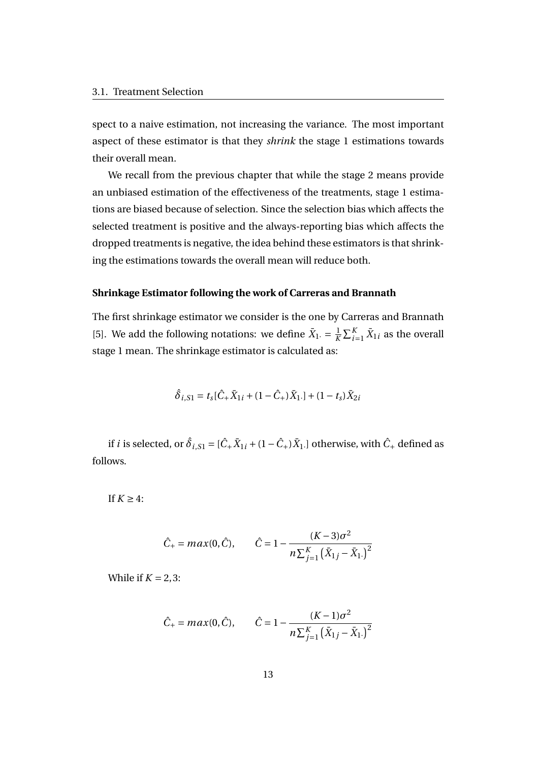spect to a naive estimation, not increasing the variance. The most important aspect of these estimator is that they *shrink* the stage 1 estimations towards their overall mean.

We recall from the previous chapter that while the stage 2 means provide an unbiased estimation of the effectiveness of the treatments, stage 1 estimations are biased because of selection. Since the selection bias which affects the selected treatment is positive and the always-reporting bias which affects the dropped treatments is negative, the idea behind these estimators is that shrinking the estimations towards the overall mean will reduce both.

#### **Shrinkage Estimator following the work of Carreras and Brannath**

The first shrinkage estimator we consider is the one by Carreras and Brannath [5]. We add the following notations: we define  $\bar{X}_1 = \frac{1}{K}$  $\frac{1}{K} \sum_{i=1}^{K} \bar{X}_{1i}$  as the overall stage 1 mean. The shrinkage estimator is calculated as:

$$
\hat{\delta}_{i, S1} = t_s [\hat{C}_+ \bar{X}_{1i} + (1 - \hat{C}_+) \bar{X}_{1\cdot}] + (1 - t_s) \bar{X}_{2i}
$$

if  $i$  is selected, or  $\hat{\delta}_{i, S1} = [\hat{C}_{+} \bar{X}_{1i} + (1-\hat{C}_{+}) \bar{X}_{1\cdot}]$  otherwise, with  $\hat{C}_{+}$  defined as follows.

If  $K \geq 4$ :

$$
\hat{C}_{+} = max(0, \hat{C}), \qquad \hat{C} = 1 - \frac{(K-3)\sigma^2}{n\sum_{j=1}^{K} (\bar{X}_{1j} - \bar{X}_{1.})^2}
$$

While if  $K = 2, 3$ :

$$
\hat{C}_{+} = max(0, \hat{C}), \qquad \hat{C} = 1 - \frac{(K - 1)\sigma^2}{n\sum_{j=1}^{K} (\bar{X}_{1j} - \bar{X}_{1.})^2}
$$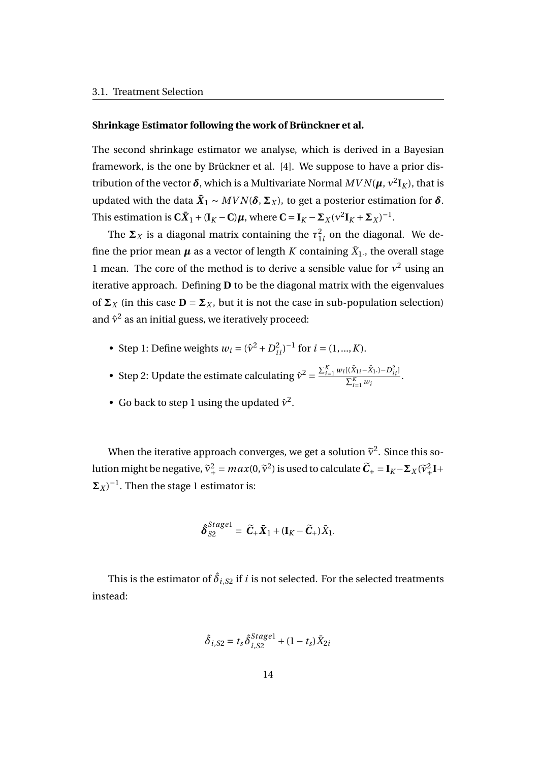#### **Shrinkage Estimator following the work of Brünckner et al.**

The second shrinkage estimator we analyse, which is derived in a Bayesian framework, is the one by Brückner et al. [4]. We suppose to have a prior distribution of the vector  $\boldsymbol{\delta}$ , which is a Multivariate Normal  $MVN(\boldsymbol{\mu}, \nu^2 \mathbf{I}_K)$ , that is updated with the data  $\bm{\bar{X}}_1 \thicksim MVN(\bm{\delta},\bm{\Sigma}_X)$ , to get a posterior estimation for  $\bm{\delta}.$ This estimation is  $C\bar{X}_1 + (\mathbf{I}_K - \mathbf{C})\boldsymbol{\mu}$ , where  $\mathbf{C} = \mathbf{I}_K - \boldsymbol{\Sigma}_X(\mathbf{v}^2\mathbf{I}_K + \boldsymbol{\Sigma}_X)^{-1}$ .

The  $\Sigma_X$  is a diagonal matrix containing the  $\tau_1^2$  $\frac{2}{1}i$  on the diagonal. We define the prior mean  $\pmb{\mu}$  as a vector of length  $K$  containing  $\bar X_1$ ., the overall stage 1 mean. The core of the method is to derive a sensible value for  $v^2$  using an iterative approach. Defining **D** to be the diagonal matrix with the eigenvalues of  $\Sigma_X$  (in this case  $D = \Sigma_X$ , but it is not the case in sub-population selection) and  $\hat{v}^2$  as an initial guess, we iteratively proceed:

- Step 1: Define weights  $w_i = (\hat{v}^2 + D_{ii}^2)^{-1}$  for  $i = (1, ..., K)$ .
- Step 2: Update the estimate calculating  $\hat{v}^2 = \frac{\sum_{i=1}^K w_i[(\bar{X}_{1i} \bar{X}_{1i}) D_{ii}^2]}{\nabla^K w_i}$  $\frac{\sum_{i=1}^{K} w_i}{\sum_{i=1}^{K} w_i}$ .
- Go back to step 1 using the updated  $\hat{v}^2$ .

When the iterative approach converges, we get a solution  $\widetilde{v}^2$ . Since this solution might be negative,  $\widetilde{v}_+^2 = max(0, \widetilde{v}^2)$  is used to calculate  $\widetilde{\mathbf{C}}_+ = \mathbf{I}_K - \mathbf{\Sigma}_X(\widetilde{v}_+^2 \mathbf{I} + \mathbf{I}_K)$  $(\Sigma_X)^{-1}$ . Then the stage 1 estimator is:

$$
\hat{\boldsymbol{\delta}}_{S2}^{Staged} = \widetilde{\boldsymbol{C}}_+ \bar{\boldsymbol{X}}_1 + (\mathbf{I}_K - \widetilde{\boldsymbol{C}}_+) \bar{X}_1.
$$

This is the estimator of  $\hat{\delta}_{i, S2}$  if  $i$  is not selected. For the selected treatments instead:

$$
\hat{\delta}_{i, S2} = t_s \hat{\delta}_{i, S2}^{Stage1} + (1 - t_s) \bar{X}_{2i}
$$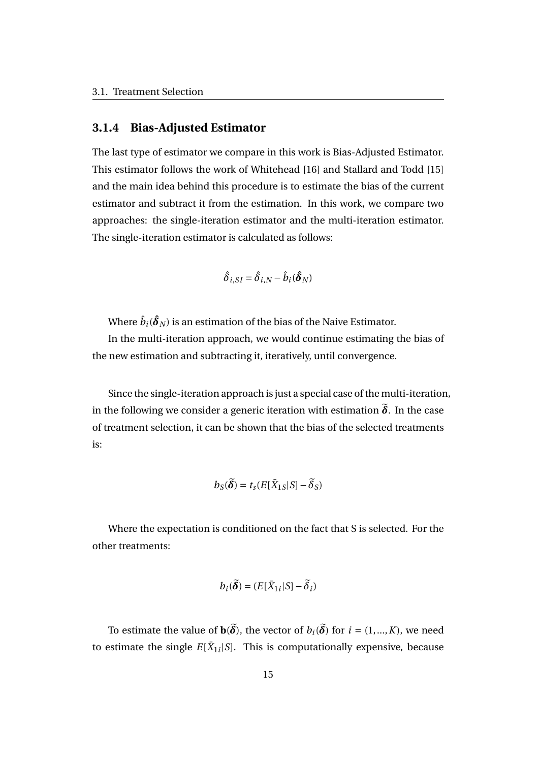#### **3.1.4 Bias-Adjusted Estimator**

The last type of estimator we compare in this work is Bias-Adjusted Estimator. This estimator follows the work of Whitehead [16] and Stallard and Todd [15] and the main idea behind this procedure is to estimate the bias of the current estimator and subtract it from the estimation. In this work, we compare two approaches: the single-iteration estimator and the multi-iteration estimator. The single-iteration estimator is calculated as follows:

$$
\hat{\delta}_{i, SI} = \hat{\delta}_{i,N} - \hat{b}_i(\hat{\boldsymbol{\delta}}_N)
$$

Where  $\hat{b}_i(\boldsymbol{\hat{\delta}}_N)$  is an estimation of the bias of the Naive Estimator.

In the multi-iteration approach, we would continue estimating the bias of the new estimation and subtracting it, iteratively, until convergence.

Since the single-iteration approach is just a special case of the multi-iteration, in the following we consider a generic iteration with estimation  $\tilde{\delta}$ . In the case of treatment selection, it can be shown that the bias of the selected treatments is:

$$
b_S(\widetilde{\boldsymbol{\delta}}) = t_s(E[\bar{X}_{1S}|S] - \widetilde{\delta}_S)
$$

Where the expectation is conditioned on the fact that S is selected. For the other treatments:

$$
b_i(\widetilde{\boldsymbol{\delta}}) = (E[\bar{X}_{1i}|S] - \widetilde{\delta}_i)
$$

To estimate the value of  $\mathbf{b}(\widetilde{\boldsymbol{\delta}})$ , the vector of  $b_i(\widetilde{\boldsymbol{\delta}})$  for  $i = (1, ..., K)$ , we need to estimate the single  $E[\bar{X}_{1i}|S]$ . This is computationally expensive, because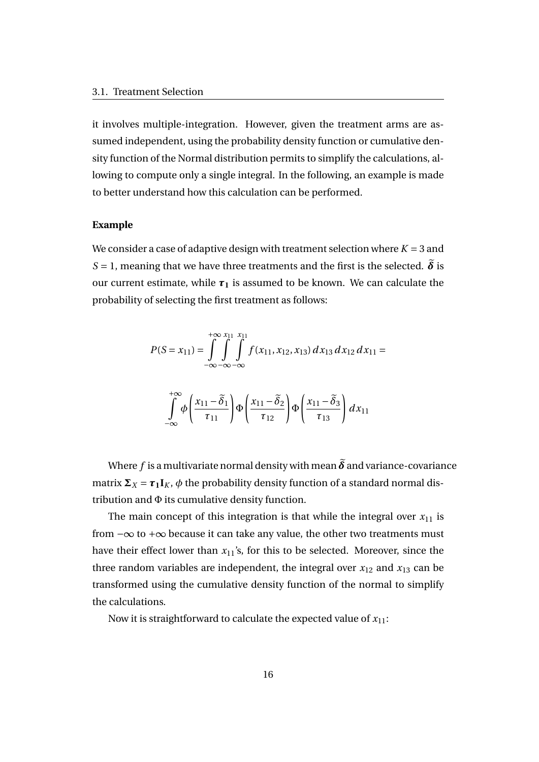it involves multiple-integration. However, given the treatment arms are assumed independent, using the probability density function or cumulative density function of the Normal distribution permits to simplify the calculations, allowing to compute only a single integral. In the following, an example is made to better understand how this calculation can be performed.

#### **Example**

We consider a case of adaptive design with treatment selection where  $K = 3$  and *S* = 1, meaning that we have three treatments and the first is the selected.  $\tilde{\delta}$  is our current estimate, while  $\tau_1$  is assumed to be known. We can calculate the probability of selecting the first treatment as follows:

$$
P(S = x_{11}) = \int_{-\infty}^{+\infty} \int_{-\infty}^{x_{11}} \int_{-\infty}^{x_{11}} f(x_{11}, x_{12}, x_{13}) dx_{13} dx_{12} dx_{11} =
$$

$$
\int_{-\infty}^{+\infty} \phi \left( \frac{x_{11} - \tilde{\delta}_1}{\tau_{11}} \right) \Phi \left( \frac{x_{11} - \tilde{\delta}_2}{\tau_{12}} \right) \Phi \left( \frac{x_{11} - \tilde{\delta}_3}{\tau_{13}} \right) dx_{11}
$$

Where *f* is a multivariate normal density with mean  $\tilde{\delta}$  and variance-covariance matrix  $\Sigma_X = \tau_1 \mathbf{I}_K$ ,  $\phi$  the probability density function of a standard normal distribution and Φ its cumulative density function.

The main concept of this integration is that while the integral over  $x_{11}$  is from −∞ to +∞ because it can take any value, the other two treatments must have their effect lower than  $x_{11}$ 's, for this to be selected. Moreover, since the three random variables are independent, the integral over  $x_{12}$  and  $x_{13}$  can be transformed using the cumulative density function of the normal to simplify the calculations.

Now it is straightforward to calculate the expected value of  $x_{11}$ :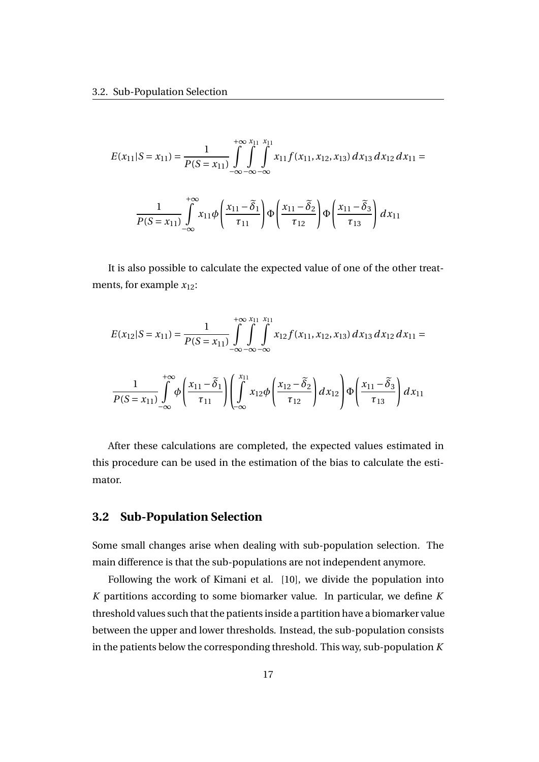$$
E(x_{11}|S = x_{11}) = \frac{1}{P(S = x_{11})} \int_{-\infty}^{+\infty} \int_{-\infty}^{x_{11}} \int_{-\infty}^{x_{11}} x_{11} f(x_{11}, x_{12}, x_{13}) dx_{13} dx_{12} dx_{11} =
$$

$$
\frac{1}{P(S = x_{11})} \int_{-\infty}^{+\infty} x_{11} \phi \left( \frac{x_{11} - \tilde{\delta}_1}{\tau_{11}} \right) \phi \left( \frac{x_{11} - \tilde{\delta}_2}{\tau_{12}} \right) \phi \left( \frac{x_{11} - \tilde{\delta}_3}{\tau_{13}} \right) dx_{11}
$$

It is also possible to calculate the expected value of one of the other treatments, for example  $x_{12}$ :

$$
E(x_{12}|S = x_{11}) = \frac{1}{P(S = x_{11})} \int_{-\infty}^{+\infty} \int_{-\infty}^{x_{11}} \int_{-\infty}^{x_{11}} x_{12} f(x_{11}, x_{12}, x_{13}) dx_{13} dx_{12} dx_{11} =
$$

$$
\frac{1}{P(S = x_{11})} \int_{-\infty}^{+\infty} \phi \left( \frac{x_{11} - \tilde{\delta}_1}{\tau_{11}} \right) \left( \int_{-\infty}^{x_{11}} x_{12} \phi \left( \frac{x_{12} - \tilde{\delta}_2}{\tau_{12}} \right) dx_{12} \right) \Phi \left( \frac{x_{11} - \tilde{\delta}_3}{\tau_{13}} \right) dx_{11}
$$

After these calculations are completed, the expected values estimated in this procedure can be used in the estimation of the bias to calculate the estimator.

#### **3.2 Sub-Population Selection**

Some small changes arise when dealing with sub-population selection. The main difference is that the sub-populations are not independent anymore.

Following the work of Kimani et al. [10], we divide the population into *K* partitions according to some biomarker value. In particular, we define *K* threshold values such that the patients inside a partition have a biomarker value between the upper and lower thresholds. Instead, the sub-population consists in the patients below the corresponding threshold. This way, sub-population *K*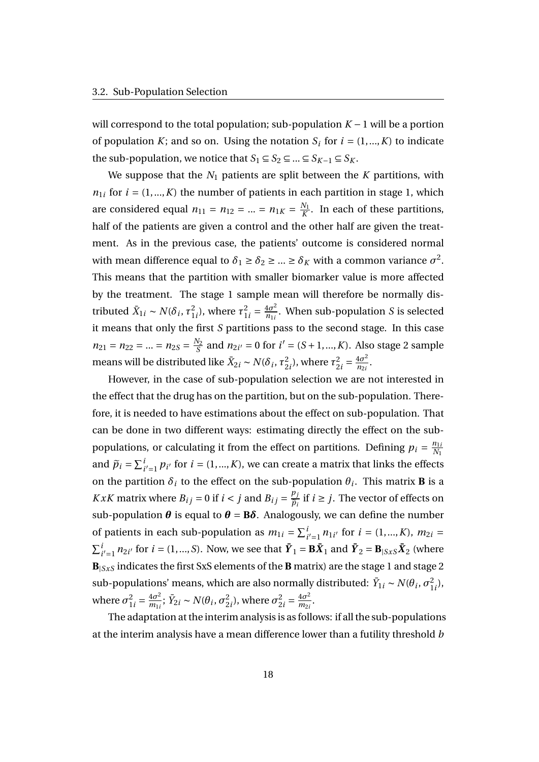will correspond to the total population; sub-population *K* −1 will be a portion of population *K*; and so on. Using the notation  $S_i$  for  $i = (1, ..., K)$  to indicate the sub-population, we notice that  $S_1 \subseteq S_2 \subseteq ... \subseteq S_{K-1} \subseteq S_K$ .

We suppose that the  $N_1$  patients are split between the  $K$  partitions, with  $n_{1i}$  for  $i = (1, ..., K)$  the number of patients in each partition in stage 1, which are considered equal  $n_{11} = n_{12} = ... = n_{1K} = \frac{N_1}{K}$  $\frac{N_1}{K}$ . In each of these partitions, half of the patients are given a control and the other half are given the treatment. As in the previous case, the patients' outcome is considered normal with mean difference equal to  $\delta_1 \ge \delta_2 \ge ... \ge \delta_K$  with a common variance  $\sigma^2$ . This means that the partition with smaller biomarker value is more affected by the treatment. The stage 1 sample mean will therefore be normally distributed  $\bar{X}_{1i} \sim N(\delta_i, \tau_1^2)$  $\frac{2}{1i}$ ), where  $\tau_1^2$  $\frac{2}{1i} = \frac{4\sigma^2}{n_{1i}}$  $\frac{4\sigma}{n_{1i}}$ . When sub-population *S* is selected it means that only the first *S* partitions pass to the second stage. In this case  $n_{21} = n_{22} = ... = n_{2S} = \frac{N_2}{S}$  $\frac{N_2}{S}$  and  $n_{2i'} = 0$  for  $i' = (S + 1, ..., K)$ . Also stage 2 sample means will be distributed like  $\bar{X}_{2i} \sim N(\delta_i, \tau_2^2)$  $\frac{2}{2i}$ ), where  $\tau_2^2$  $\frac{2}{2i} = \frac{4\sigma^2}{n_{2i}}$  $\frac{40^{2}}{n_{2i}}$ .

However, in the case of sub-population selection we are not interested in the effect that the drug has on the partition, but on the sub-population. Therefore, it is needed to have estimations about the effect on sub-population. That can be done in two different ways: estimating directly the effect on the subpopulations, or calculating it from the effect on partitions. Defining  $p_i = \frac{n_{1i}}{N_i}$ *N*<sup>1</sup> and  $\widetilde{p}_i = \sum_{i'=1}^i p_{i'}$  for  $i = (1, ..., K)$ , we can create a matrix that links the effects on the partition  $\delta_i$  to the effect on the sub-population  $\theta_i$ . This matrix **B** is a *KxK* matrix where  $B_{ij} = 0$  if  $i < j$  and  $B_{ij} = \frac{p_j}{\tilde{n}}$  $\widetilde{p}_i$ if  $i ≥ j$ . The vector of effects on sub-population  $\theta$  is equal to  $\theta = B\delta$ . Analogously, we can define the number of patients in each sub-population as  $m_{1i} = \sum_{i'=1}^{i} n_{1i'}$  for  $i = (1, ..., K)$ ,  $m_{2i} =$  $\sum_{i'=1}^{i} n_{2i'}$  for  $i = (1, ..., S)$ . Now, we see that  $\bar{Y}_1 = B\bar{X}_1$  and  $\bar{Y}_2 = B_{|SxS}\bar{X}_2$  (where **B**|*SxS* indicates the first SxS elements of the **B** matrix) are the stage 1 and stage 2 sub-populations' means, which are also normally distributed:  $\bar{Y}_{1i} \sim N(\theta_i, \sigma_1^2)$  $^{2}_{1i}),$ where  $\sigma_1^2$  $\frac{2}{1i} = \frac{4\sigma^2}{m_{1i}}$  $\frac{4\sigma^2}{m_{1i}}$ ;  $\bar{Y}_{2i} \sim N(\theta_i, \sigma_2^2)$  $\frac{2}{2i}$ ), where  $\sigma_2^2$  $\frac{2}{2i} = \frac{4\sigma^2}{m_{2i}}$  $\frac{40}{m_{2i}}$ .

The adaptation at the interim analysis is as follows: if all the sub-populations at the interim analysis have a mean difference lower than a futility threshold *b*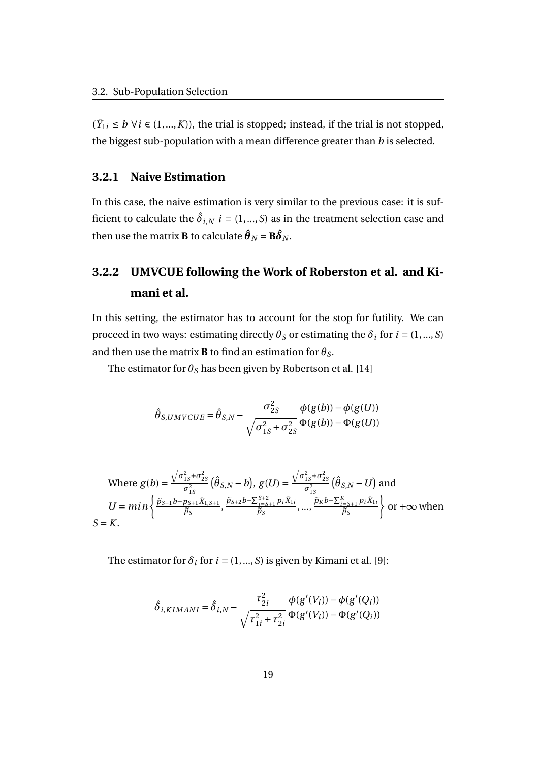$(\bar{Y}_{1i}$  ≤ *b* ∀*i* ∈ (1,...,*K*)), the trial is stopped; instead, if the trial is not stopped, the biggest sub-population with a mean difference greater than *b* is selected.

#### **3.2.1 Naive Estimation**

In this case, the naive estimation is very similar to the previous case: it is sufficient to calculate the  $\hat{\delta}_{i,N}$   $i = (1,...,S)$  as in the treatment selection case and then use the matrix **B** to calculate  $\boldsymbol{\hat{\theta}}_N = \mathbf{B}\boldsymbol{\hat{\delta}}_N$ .

### **3.2.2 UMVCUE following the Work of Roberston et al. and Kimani et al.**

In this setting, the estimator has to account for the stop for futility. We can proceed in two ways: estimating directly  $\theta_S$  or estimating the  $\delta_i$  for  $i = (1, ..., S)$ and then use the matrix **B** to find an estimation for  $\theta_s$ .

The estimator for  $\theta_S$  has been given by Robertson et al. [14]

$$
\hat{\theta}_{S,UMVCUE} = \hat{\theta}_{S,N} - \frac{\sigma_{2S}^2}{\sqrt{\sigma_{1S}^2 + \sigma_{2S}^2}} \frac{\phi(g(b)) - \phi(g(U))}{\Phi(g(b)) - \Phi(g(U))}
$$

Where 
$$
g(b) = \frac{\sqrt{\sigma_{1S}^2 + \sigma_{2S}^2}}{\sigma_{1S}^2} (\hat{\theta}_{S,N} - b), g(U) = \frac{\sqrt{\sigma_{1S}^2 + \sigma_{2S}^2}}{\sigma_{1S}^2} (\hat{\theta}_{S,N} - U)
$$
 and  
\n
$$
U = min \left\{ \frac{\tilde{p}_{S+1}b - p_{S+1}\tilde{X}_{1,S+1}}{\tilde{p}_S}, \frac{\tilde{p}_{S+2}b - \sum_{i=S+1}^{S+2} p_i \tilde{X}_{1i}}{\tilde{p}_S}, ..., \frac{\tilde{p}_K b - \sum_{i=S+1}^K p_i \tilde{X}_{1i}}{\tilde{p}_S} \right\}
$$
 or  $+\infty$  when  
\n $S = K$ .

The estimator for  $\delta_i$  for  $i = (1, ..., S)$  is given by Kimani et al. [9]:

$$
\hat{\delta}_{i,KIMANI} = \hat{\delta}_{i,N} - \frac{\tau_{2i}^2}{\sqrt{\tau_{1i}^2 + \tau_{2i}^2}} \frac{\phi(g'(V_i)) - \phi(g'(Q_i))}{\Phi(g'(V_i)) - \Phi(g'(Q_i))}
$$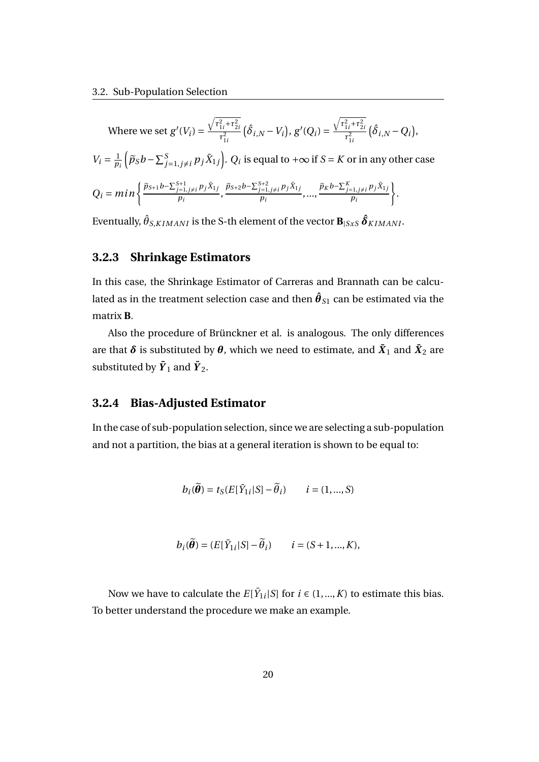Where we set 
$$
g'(V_i) = \frac{\sqrt{r_{1i}^2 + r_{2i}^2}}{r_{1i}^2} (\hat{\delta}_{i,N} - V_i), g'(Q_i) = \frac{\sqrt{r_{1i}^2 + r_{2i}^2}}{r_{1i}^2} (\hat{\delta}_{i,N} - Q_i),
$$
  
\n
$$
V_i = \frac{1}{p_i} (\tilde{p}_S b - \sum_{j=1, j \neq i}^S p_j \bar{X}_{1j}). Q_i \text{ is equal to } +\infty \text{ if } S = K \text{ or in any other case}
$$
  
\n
$$
Q_i = min \left\{ \frac{\tilde{p}_{S+1} b - \sum_{j=1, j \neq i}^{S+1} p_j \bar{X}_{1j}}{p_i}, \frac{\tilde{p}_{S+2} b - \sum_{j=1, j \neq i}^{S+2} p_j \bar{X}_{1j}}{p_i}, ..., \frac{\tilde{p}_K b - \sum_{j=1, j \neq i}^K p_j \bar{X}_{1j}}{p_i} \right\}.
$$

Eventually,  $\hat{\theta}_{S, KIMANI}$  is the S-th element of the vector  $\textbf{B}_{|SxS} \, \boldsymbol{\hat{\delta}}_{KIMANI}.$ 

#### **3.2.3 Shrinkage Estimators**

In this case, the Shrinkage Estimator of Carreras and Brannath can be calculated as in the treatment selection case and then  $\boldsymbol{\hat{\theta}}_{S1}$  can be estimated via the matrix **B**.

Also the procedure of Brünckner et al. is analogous. The only differences are that  $\boldsymbol{\delta}$  is substituted by  $\boldsymbol{\theta}$ , which we need to estimate, and  $\bar{\boldsymbol{X}}_1$  and  $\bar{\boldsymbol{X}}_2$  are substituted by  $\bar{\pmb{Y}}_1$  and  $\bar{\pmb{Y}}_2$ .

#### **3.2.4 Bias-Adjusted Estimator**

In the case of sub-population selection, since we are selecting a sub-population and not a partition, the bias at a general iteration is shown to be equal to:

$$
b_i(\widetilde{\boldsymbol{\theta}}) = t_S(E[\bar{Y}_{1i}|S] - \widetilde{\theta}_i) \qquad i = (1, ..., S)
$$

$$
b_i(\widetilde{\boldsymbol{\theta}}) = (E[\bar{Y}_{1i}|S] - \widetilde{\theta}_i) \qquad i = (S+1,...,K),
$$

Now we have to calculate the  $E[\bar{Y}_{1i}|S]$  for  $i \in (1,...,K)$  to estimate this bias. To better understand the procedure we make an example.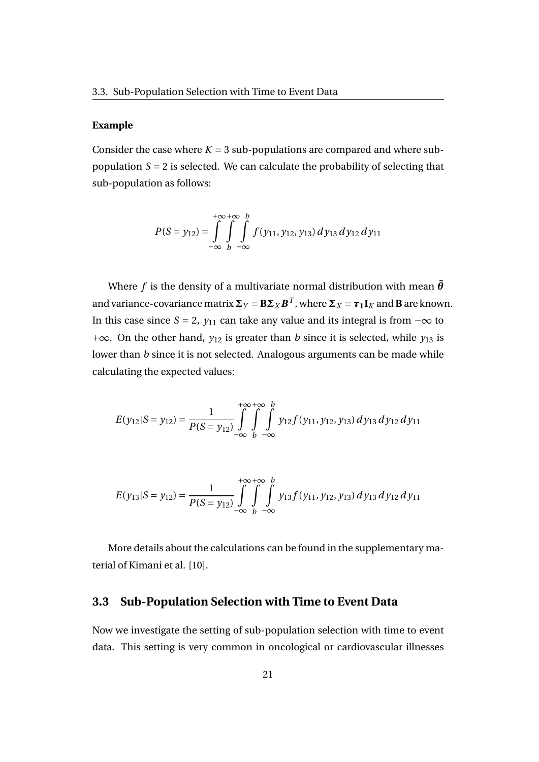#### **Example**

Consider the case where  $K = 3$  sub-populations are compared and where subpopulation  $S = 2$  is selected. We can calculate the probability of selecting that sub-population as follows:

$$
P(S = y_{12}) = \int_{-\infty}^{+\infty} \int_{b}^{+\infty} \int_{-\infty}^{b} f(y_{11}, y_{12}, y_{13}) dy_{13} dy_{12} dy_{11}
$$

Where *f* is the density of a multivariate normal distribution with mean  $\tilde{\theta}$ and variance-covariance matrix  $\Sigma_Y = \mathbf{B}\Sigma_X\bm{B}^T$ , where  $\Sigma_X = \bm{\tau_1}\bm{I}_K$  and  $\bm{B}$  are known. In this case since *S* = 2,  $y_{11}$  can take any value and its integral is from  $-\infty$  to +∞. On the other hand, *y*<sup>12</sup> is greater than *b* since it is selected, while *y*<sup>13</sup> is lower than *b* since it is not selected. Analogous arguments can be made while calculating the expected values:

$$
E(y_{12}|S = y_{12}) = \frac{1}{P(S = y_{12})} \int_{-\infty}^{+\infty} \int_{b}^{b} \int_{-\infty}^{b} y_{12} f(y_{11}, y_{12}, y_{13}) dy_{13} dy_{12} dy_{11}
$$

$$
E(y_{13}|S = y_{12}) = \frac{1}{P(S = y_{12})} \int_{-\infty}^{+\infty} \int_{b}^{b} \int_{-\infty}^{b} y_{13} f(y_{11}, y_{12}, y_{13}) dy_{13} dy_{12} dy_{11}
$$

More details about the calculations can be found in the supplementary material of Kimani et al. [10].

#### **3.3 Sub-Population Selection with Time to Event Data**

Now we investigate the setting of sub-population selection with time to event data. This setting is very common in oncological or cardiovascular illnesses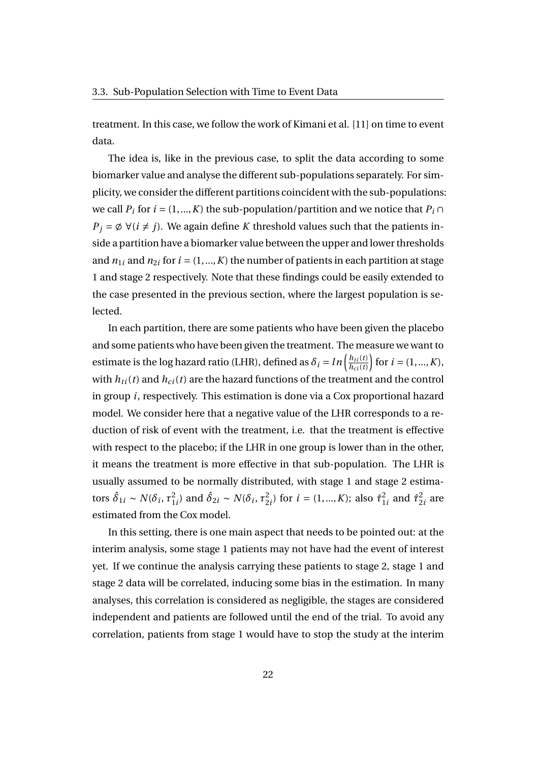treatment. In this case, we follow the work of Kimani et al. [11] on time to event data.

The idea is, like in the previous case, to split the data according to some biomarker value and analyse the different sub-populations separately. For simplicity, we consider the different partitions coincident with the sub-populations: we call  $P_i$  for  $i = (1, ..., K)$  the sub-population/partition and we notice that  $P_i \cap$  $P_j = \emptyset \ \forall (i \neq j)$ . We again define *K* threshold values such that the patients inside a partition have a biomarker value between the upper and lower thresholds and  $n_{1i}$  and  $n_{2i}$  for  $i = (1, ..., K)$  the number of patients in each partition at stage 1 and stage 2 respectively. Note that these findings could be easily extended to the case presented in the previous section, where the largest population is selected.

In each partition, there are some patients who have been given the placebo and some patients who have been given the treatment. The measure we want to estimate is the log hazard ratio (LHR), defined as  $\delta_i = ln \left( \frac{h_{ti}(t)}{h_{ci}(t)} \right)$  $h_{ci}(t)$  $\bigg)$  for  $i = (1, ..., K)$ , with  $h_{ti}(t)$  and  $h_{ci}(t)$  are the hazard functions of the treatment and the control in group *i*, respectively. This estimation is done via a Cox proportional hazard model. We consider here that a negative value of the LHR corresponds to a reduction of risk of event with the treatment, i.e. that the treatment is effective with respect to the placebo; if the LHR in one group is lower than in the other, it means the treatment is more effective in that sub-population. The LHR is usually assumed to be normally distributed, with stage 1 and stage 2 estimators  $\hat{\delta}_{1i} \sim N(\delta_i, \tau_1^2)$ <sup>2</sup><sub>*i*</sub></sub>) and  $\hat{\delta}_{2i}$  ∼ *N*( $\delta_i$ ,  $\tau_2^2$  $2_{2i}^2$ ) for  $i = (1, ..., K)$ ; also  $\hat{\tau}_1^2$  $^{2}_{1i}$  and  $\hat{\tau}^{2}_{2}$  $\frac{2}{2}$ *i* are estimated from the Cox model.

In this setting, there is one main aspect that needs to be pointed out: at the interim analysis, some stage 1 patients may not have had the event of interest yet. If we continue the analysis carrying these patients to stage 2, stage 1 and stage 2 data will be correlated, inducing some bias in the estimation. In many analyses, this correlation is considered as negligible, the stages are considered independent and patients are followed until the end of the trial. To avoid any correlation, patients from stage 1 would have to stop the study at the interim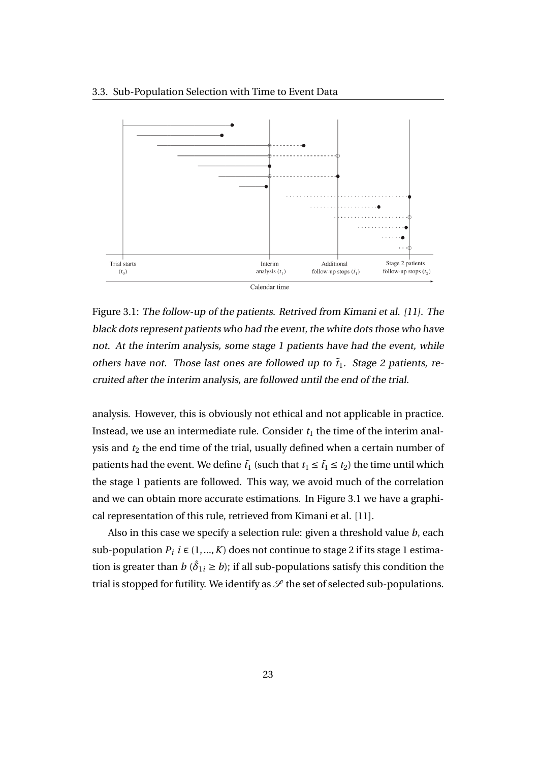



Figure 3.1: The follow-up of the patients. Retrived from Kimani et al. [11]. The black dots represent patients who had the event, the white dots those who have not. At the interim analysis, some stage 1 patients have had the event, while others have not. Those last ones are followed up to  $\tilde{t}_1$ . Stage 2 patients, recruited after the interim analysis, are followed until the end of the trial.

analysis. However, this is obviously not ethical and not applicable in practice. Instead, we use an intermediate rule. Consider  $t_1$  the time of the interim analysis and  $t_2$  the end time of the trial, usually defined when a certain number of patients had the event. We define  $\tilde{t}_1$  (such that  $t_1 \leq \tilde{t}_1 \leq t_2$ ) the time until which the stage 1 patients are followed. This way, we avoid much of the correlation and we can obtain more accurate estimations. In Figure 3.1 we have a graphical representation of this rule, retrieved from Kimani et al. [11].

Also in this case we specify a selection rule: given a threshold value *b*, each sub-population  $P_i$   $i \in (1, ..., K)$  does not continue to stage 2 if its stage 1 estimation is greater than  $b$  ( $\hat{\delta}_{1i} \geq b$ ); if all sub-populations satisfy this condition the trial is stopped for futility. We identify as  $\mathscr S$  the set of selected sub-populations.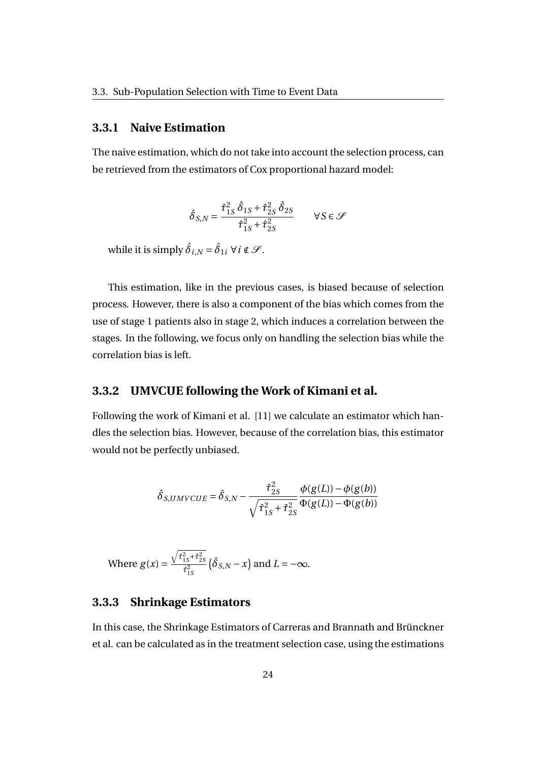#### **3.3.1 Naive Estimation**

The naive estimation, which do not take into account the selection process, can be retrieved from the estimators of Cox proportional hazard model:

$$
\hat{\delta}_{S,N} = \frac{\hat{\tau}_{1S}^2 \hat{\delta}_{1S} + \hat{\tau}_{2S}^2 \hat{\delta}_{2S}}{\hat{\tau}_{1S}^2 + \hat{\tau}_{2S}^2} \qquad \forall S \in \mathcal{S}
$$

while it is simply  $\hat{\delta}_{i,N}$  =  $\hat{\delta}_{1i}$   $\forall$   $i$   $\notin$   $\mathscr{S}.$ 

This estimation, like in the previous cases, is biased because of selection process. However, there is also a component of the bias which comes from the use of stage 1 patients also in stage 2, which induces a correlation between the stages. In the following, we focus only on handling the selection bias while the correlation bias is left.

#### **3.3.2 UMVCUE following the Work of Kimani et al.**

Following the work of Kimani et al. [11] we calculate an estimator which handles the selection bias. However, because of the correlation bias, this estimator would not be perfectly unbiased.

$$
\hat{\delta}_{S,UMVCUE} = \hat{\delta}_{S,N} - \frac{\hat{\tau}_{2S}^2}{\sqrt{\hat{\tau}_{1S}^2 + \hat{\tau}_{2S}^2}} \frac{\phi(g(L)) - \phi(g(b))}{\Phi(g(L)) - \Phi(g(b))}
$$

Where 
$$
g(x) = \frac{\sqrt{\hat{\tau}_{1S}^2 + \hat{\tau}_{2S}^2}}{\hat{\tau}_{1S}^2} (\hat{\delta}_{S,N} - x)
$$
 and  $L = -\infty$ .

#### **3.3.3 Shrinkage Estimators**

In this case, the Shrinkage Estimators of Carreras and Brannath and Brünckner et al. can be calculated as in the treatment selection case, using the estimations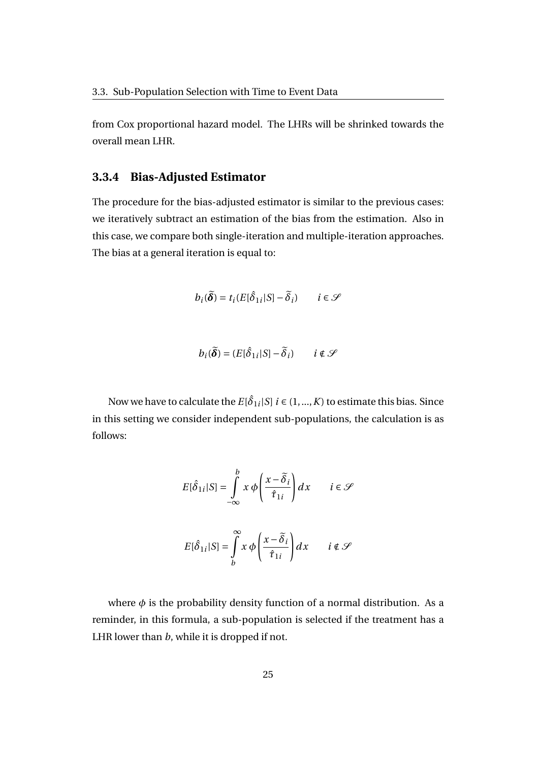from Cox proportional hazard model. The LHRs will be shrinked towards the overall mean LHR.

#### **3.3.4 Bias-Adjusted Estimator**

The procedure for the bias-adjusted estimator is similar to the previous cases: we iteratively subtract an estimation of the bias from the estimation. Also in this case, we compare both single-iteration and multiple-iteration approaches. The bias at a general iteration is equal to:

$$
b_i(\widetilde{\boldsymbol{\delta}}) = t_i(E[\hat{\delta}_{1i}|S] - \widetilde{\delta}_i) \qquad i \in \mathcal{S}
$$

 $b_i(\widetilde{\boldsymbol{\delta}}) = (E[\hat{\delta}_{1i}|S] - \widetilde{\delta}_i)$  *i* ∉ S

Now we have to calculate the  $E[\hat{\delta}_{1i}|S] \ i \in (1,...,K)$  to estimate this bias. Since in this setting we consider independent sub-populations, the calculation is as follows:

$$
E[\hat{\delta}_{1i}|S] = \int_{-\infty}^{b} x \phi \left(\frac{x - \tilde{\delta}_{i}}{\hat{\tau}_{1i}}\right) dx \qquad i \in \mathcal{S}
$$

$$
E[\hat{\delta}_{1i}|S] = \int_{b}^{\infty} x \phi \left(\frac{x - \tilde{\delta}_{i}}{\hat{\tau}_{1i}}\right) dx \qquad i \notin \mathcal{S}
$$

where  $\phi$  is the probability density function of a normal distribution. As a reminder, in this formula, a sub-population is selected if the treatment has a LHR lower than *b*, while it is dropped if not.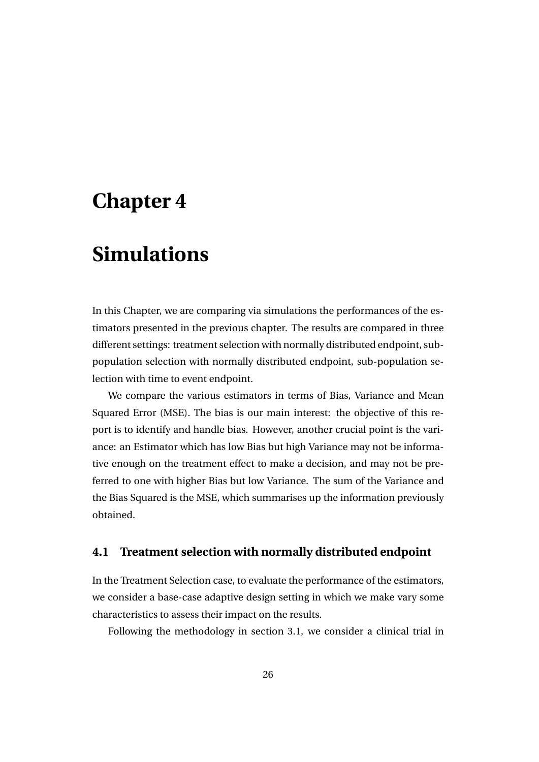## **Chapter 4**

## **Simulations**

In this Chapter, we are comparing via simulations the performances of the estimators presented in the previous chapter. The results are compared in three different settings: treatment selection with normally distributed endpoint, subpopulation selection with normally distributed endpoint, sub-population selection with time to event endpoint.

We compare the various estimators in terms of Bias, Variance and Mean Squared Error (MSE). The bias is our main interest: the objective of this report is to identify and handle bias. However, another crucial point is the variance: an Estimator which has low Bias but high Variance may not be informative enough on the treatment effect to make a decision, and may not be preferred to one with higher Bias but low Variance. The sum of the Variance and the Bias Squared is the MSE, which summarises up the information previously obtained.

#### **4.1 Treatment selection with normally distributed endpoint**

In the Treatment Selection case, to evaluate the performance of the estimators, we consider a base-case adaptive design setting in which we make vary some characteristics to assess their impact on the results.

Following the methodology in section 3.1, we consider a clinical trial in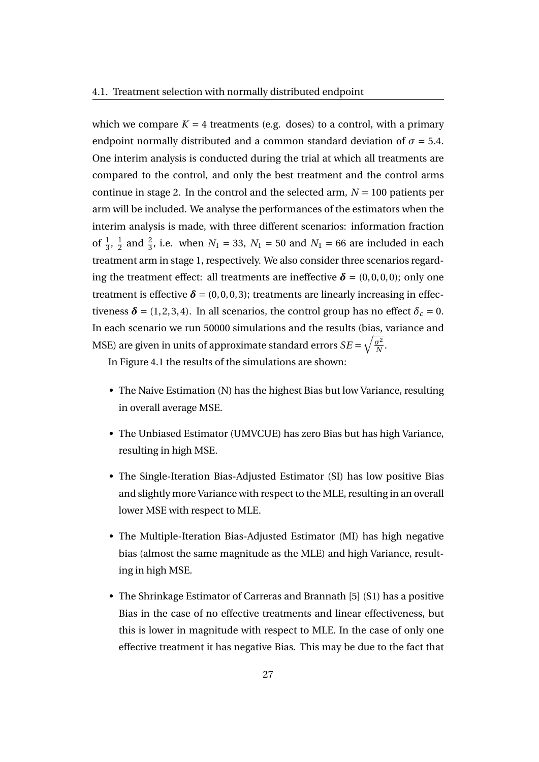which we compare  $K = 4$  treatments (e.g. doses) to a control, with a primary endpoint normally distributed and a common standard deviation of  $\sigma = 5.4$ . One interim analysis is conducted during the trial at which all treatments are compared to the control, and only the best treatment and the control arms continue in stage 2. In the control and the selected arm,  $N = 100$  patients per arm will be included. We analyse the performances of the estimators when the interim analysis is made, with three different scenarios: information fraction of  $\frac{1}{3}$ ,  $\frac{1}{2}$  $\frac{1}{2}$  and  $\frac{2}{3}$ , i.e. when *N*<sub>1</sub> = 33, *N*<sub>1</sub> = 50 and *N*<sub>1</sub> = 66 are included in each treatment arm in stage 1, respectively. We also consider three scenarios regarding the treatment effect: all treatments are ineffective  $\delta = (0, 0, 0, 0)$ ; only one treatment is effective  $\delta = (0, 0, 0, 3)$ ; treatments are linearly increasing in effectiveness  $\delta$  = (1, 2, 3, 4). In all scenarios, the control group has no effect  $\delta_c$  = 0. In each scenario we run 50000 simulations and the results (bias, variance and MSE) are given in units of approximate standard errors  $SE = \sqrt{\frac{\sigma^2}{N}}$  $\frac{\sigma^2}{N}$ .

In Figure 4.1 the results of the simulations are shown:

- The Naive Estimation (N) has the highest Bias but low Variance, resulting in overall average MSE.
- The Unbiased Estimator (UMVCUE) has zero Bias but has high Variance, resulting in high MSE.
- The Single-Iteration Bias-Adjusted Estimator (SI) has low positive Bias and slightly more Variance with respect to the MLE, resulting in an overall lower MSE with respect to MLE.
- The Multiple-Iteration Bias-Adjusted Estimator (MI) has high negative bias (almost the same magnitude as the MLE) and high Variance, resulting in high MSE.
- The Shrinkage Estimator of Carreras and Brannath [5] (S1) has a positive Bias in the case of no effective treatments and linear effectiveness, but this is lower in magnitude with respect to MLE. In the case of only one effective treatment it has negative Bias. This may be due to the fact that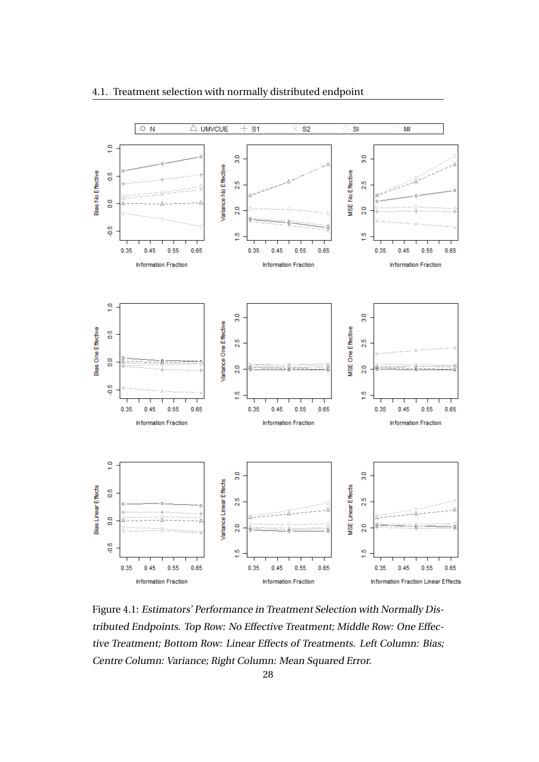

#### 4.1. Treatment selection with normally distributed endpoint

Figure 4.1: Estimators' Performance in Treatment Selection with Normally Distributed Endpoints. Top Row: No Effective Treatment; Middle Row: One Effective Treatment; Bottom Row: Linear Effects of Treatments. Left Column: Bias; Centre Column: Variance; Right Column: Mean Squared Error.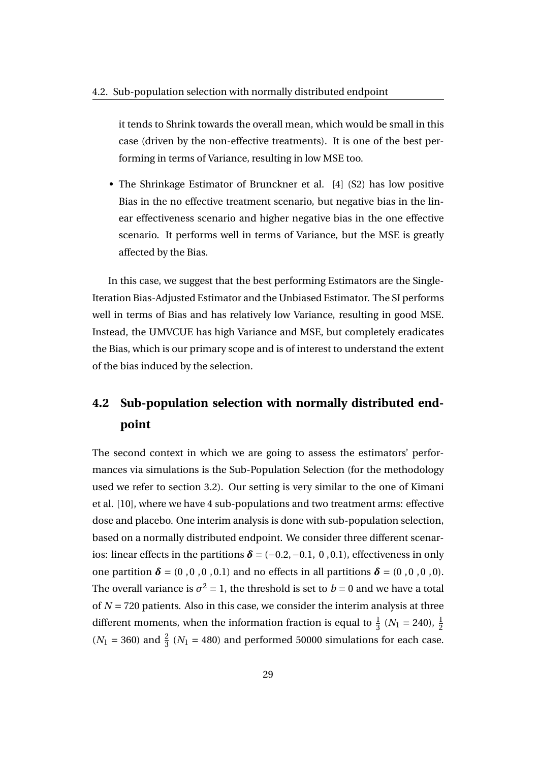it tends to Shrink towards the overall mean, which would be small in this case (driven by the non-effective treatments). It is one of the best performing in terms of Variance, resulting in low MSE too.

• The Shrinkage Estimator of Brunckner et al. [4] (S2) has low positive Bias in the no effective treatment scenario, but negative bias in the linear effectiveness scenario and higher negative bias in the one effective scenario. It performs well in terms of Variance, but the MSE is greatly affected by the Bias.

In this case, we suggest that the best performing Estimators are the Single-Iteration Bias-Adjusted Estimator and the Unbiased Estimator. The SI performs well in terms of Bias and has relatively low Variance, resulting in good MSE. Instead, the UMVCUE has high Variance and MSE, but completely eradicates the Bias, which is our primary scope and is of interest to understand the extent of the bias induced by the selection.

### **4.2 Sub-population selection with normally distributed endpoint**

The second context in which we are going to assess the estimators' performances via simulations is the Sub-Population Selection (for the methodology used we refer to section 3.2). Our setting is very similar to the one of Kimani et al. [10], where we have 4 sub-populations and two treatment arms: effective dose and placebo. One interim analysis is done with sub-population selection, based on a normally distributed endpoint. We consider three different scenarios: linear effects in the partitions  $\delta = (-0.2, -0.1, 0, 0.1)$ , effectiveness in only one partition  $\delta = (0, 0, 0, 0, 0.1)$  and no effects in all partitions  $\delta = (0, 0, 0, 0, 0)$ . The overall variance is  $\sigma^2 = 1$ , the threshold is set to  $b = 0$  and we have a total of *N* = 720 patients. Also in this case, we consider the interim analysis at three different moments, when the information fraction is equal to  $\frac{1}{3}$  ( $N_1 = 240$ ),  $\frac{1}{2}$  $(N_1 = 360)$  and  $\frac{2}{3}$   $(N_1 = 480)$  and performed 50000 simulations for each case.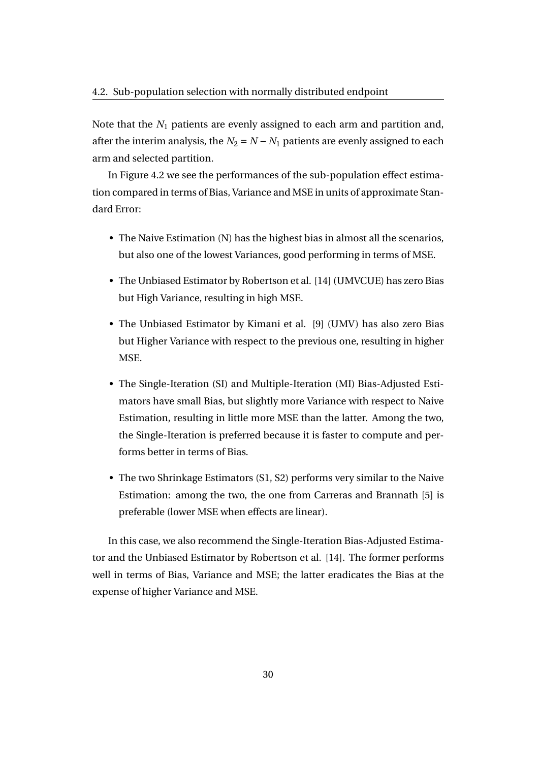Note that the *N*<sup>1</sup> patients are evenly assigned to each arm and partition and, after the interim analysis, the  $N_2 = N - N_1$  patients are evenly assigned to each arm and selected partition.

In Figure 4.2 we see the performances of the sub-population effect estimation compared in terms of Bias, Variance and MSE in units of approximate Standard Error:

- The Naive Estimation (N) has the highest bias in almost all the scenarios, but also one of the lowest Variances, good performing in terms of MSE.
- The Unbiased Estimator by Robertson et al. [14] (UMVCUE) has zero Bias but High Variance, resulting in high MSE.
- The Unbiased Estimator by Kimani et al. [9] (UMV) has also zero Bias but Higher Variance with respect to the previous one, resulting in higher MSE.
- The Single-Iteration (SI) and Multiple-Iteration (MI) Bias-Adjusted Estimators have small Bias, but slightly more Variance with respect to Naive Estimation, resulting in little more MSE than the latter. Among the two, the Single-Iteration is preferred because it is faster to compute and performs better in terms of Bias.
- The two Shrinkage Estimators (S1, S2) performs very similar to the Naive Estimation: among the two, the one from Carreras and Brannath [5] is preferable (lower MSE when effects are linear).

In this case, we also recommend the Single-Iteration Bias-Adjusted Estimator and the Unbiased Estimator by Robertson et al. [14]. The former performs well in terms of Bias, Variance and MSE; the latter eradicates the Bias at the expense of higher Variance and MSE.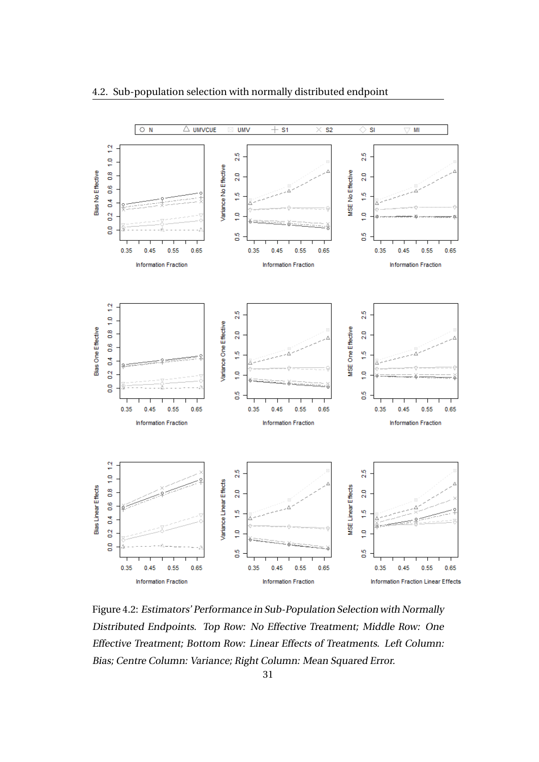

#### 4.2. Sub-population selection with normally distributed endpoint

Figure 4.2: Estimators' Performance in Sub-Population Selection with Normally Distributed Endpoints. Top Row: No Effective Treatment; Middle Row: One Effective Treatment; Bottom Row: Linear Effects of Treatments. Left Column: Bias; Centre Column: Variance; Right Column: Mean Squared Error.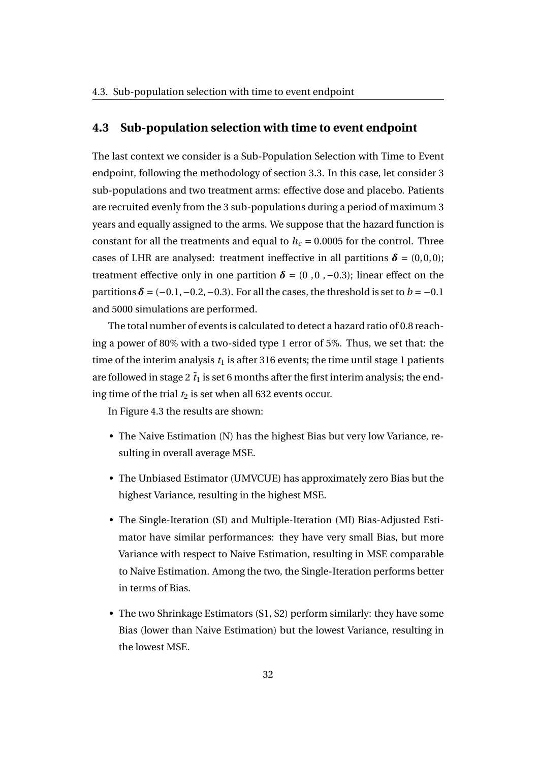#### **4.3 Sub-population selection with time to event endpoint**

The last context we consider is a Sub-Population Selection with Time to Event endpoint, following the methodology of section 3.3. In this case, let consider 3 sub-populations and two treatment arms: effective dose and placebo. Patients are recruited evenly from the 3 sub-populations during a period of maximum 3 years and equally assigned to the arms. We suppose that the hazard function is constant for all the treatments and equal to  $h_c = 0.0005$  for the control. Three cases of LHR are analysed: treatment ineffective in all partitions  $\delta = (0,0,0)$ ; treatment effective only in one partition  $\delta = (0, 0, -0.3)$ ; linear effect on the partitions  $\delta = (-0.1, -0.2, -0.3)$ . For all the cases, the threshold is set to  $b = -0.1$ and 5000 simulations are performed.

The total number of events is calculated to detect a hazard ratio of 0.8 reaching a power of 80% with a two-sided type 1 error of 5%. Thus, we set that: the time of the interim analysis  $t_1$  is after 316 events; the time until stage 1 patients are followed in stage 2  $\tilde{t}_1$  is set 6 months after the first interim analysis; the ending time of the trial  $t_2$  is set when all 632 events occur.

In Figure 4.3 the results are shown:

- The Naive Estimation (N) has the highest Bias but very low Variance, resulting in overall average MSE.
- The Unbiased Estimator (UMVCUE) has approximately zero Bias but the highest Variance, resulting in the highest MSE.
- The Single-Iteration (SI) and Multiple-Iteration (MI) Bias-Adjusted Estimator have similar performances: they have very small Bias, but more Variance with respect to Naive Estimation, resulting in MSE comparable to Naive Estimation. Among the two, the Single-Iteration performs better in terms of Bias.
- The two Shrinkage Estimators (S1, S2) perform similarly: they have some Bias (lower than Naive Estimation) but the lowest Variance, resulting in the lowest MSE.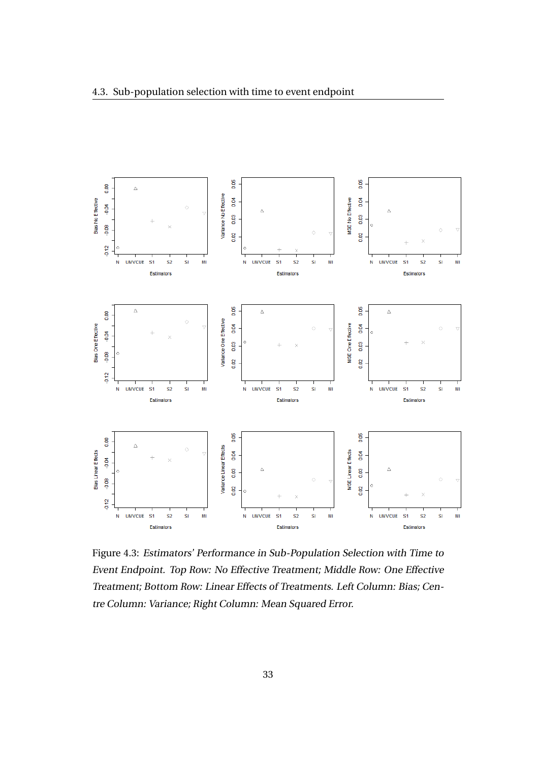

Figure 4.3: Estimators' Performance in Sub-Population Selection with Time to Event Endpoint. Top Row: No Effective Treatment; Middle Row: One Effective Treatment; Bottom Row: Linear Effects of Treatments. Left Column: Bias; Centre Column: Variance; Right Column: Mean Squared Error.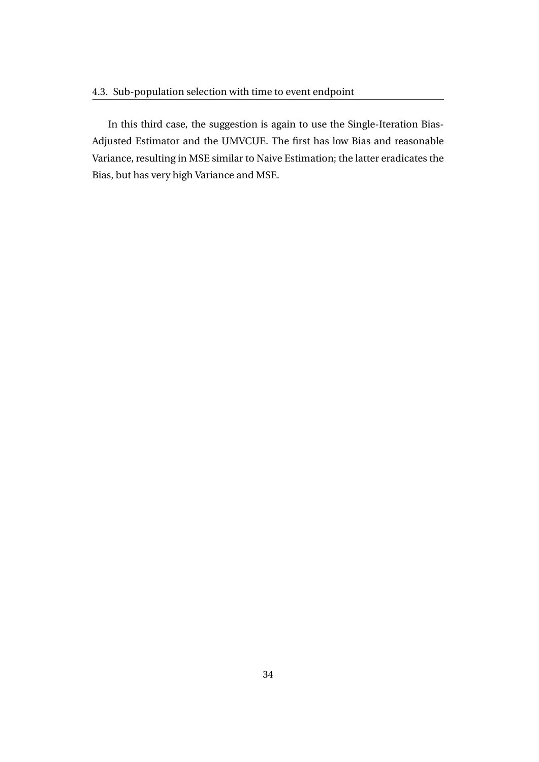In this third case, the suggestion is again to use the Single-Iteration Bias-Adjusted Estimator and the UMVCUE. The first has low Bias and reasonable Variance, resulting in MSE similar to Naive Estimation; the latter eradicates the Bias, but has very high Variance and MSE.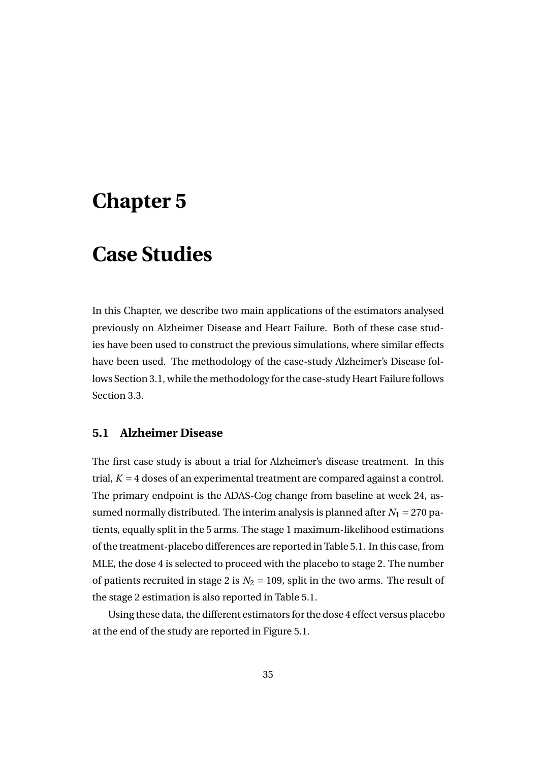## **Chapter 5**

### **Case Studies**

In this Chapter, we describe two main applications of the estimators analysed previously on Alzheimer Disease and Heart Failure. Both of these case studies have been used to construct the previous simulations, where similar effects have been used. The methodology of the case-study Alzheimer's Disease follows Section 3.1, while the methodology for the case-study Heart Failure follows Section 3.3.

#### **5.1 Alzheimer Disease**

The first case study is about a trial for Alzheimer's disease treatment. In this trial,  $K = 4$  doses of an experimental treatment are compared against a control. The primary endpoint is the ADAS-Cog change from baseline at week 24, assumed normally distributed. The interim analysis is planned after  $N_1 = 270$  patients, equally split in the 5 arms. The stage 1 maximum-likelihood estimations of the treatment-placebo differences are reported in Table 5.1. In this case, from MLE, the dose 4 is selected to proceed with the placebo to stage 2. The number of patients recruited in stage 2 is  $N_2 = 109$ , split in the two arms. The result of the stage 2 estimation is also reported in Table 5.1.

Using these data, the different estimators for the dose 4 effect versus placebo at the end of the study are reported in Figure 5.1.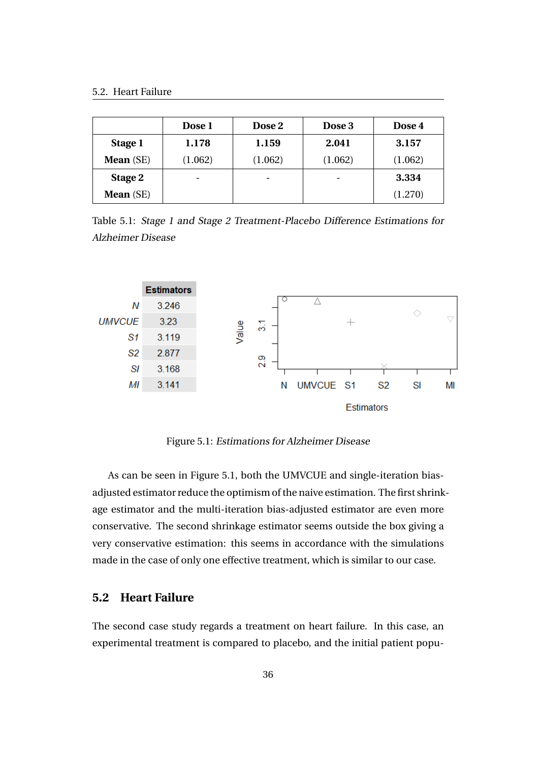|                  | Dose 1                   | Dose 2  | Dose 3  | Dose 4  |
|------------------|--------------------------|---------|---------|---------|
| Stage 1          | 1.178                    | 1.159   | 2.041   | 3.157   |
| <b>Mean</b> (SE) | (1.062)                  | (1.062) | (1.062) | (1.062) |
| Stage 2          | $\overline{\phantom{0}}$ | ۰       | ۰       | 3.334   |
| <b>Mean</b> (SE) |                          |         |         | (1.270) |

Table 5.1: Stage 1 and Stage 2 Treatment-Placebo Difference Estimations for Alzheimer Disease



Figure 5.1: Estimations for Alzheimer Disease

As can be seen in Figure 5.1, both the UMVCUE and single-iteration biasadjusted estimator reduce the optimism of the naive estimation. The first shrinkage estimator and the multi-iteration bias-adjusted estimator are even more conservative. The second shrinkage estimator seems outside the box giving a very conservative estimation: this seems in accordance with the simulations made in the case of only one effective treatment, which is similar to our case.

#### **5.2 Heart Failure**

The second case study regards a treatment on heart failure. In this case, an experimental treatment is compared to placebo, and the initial patient popu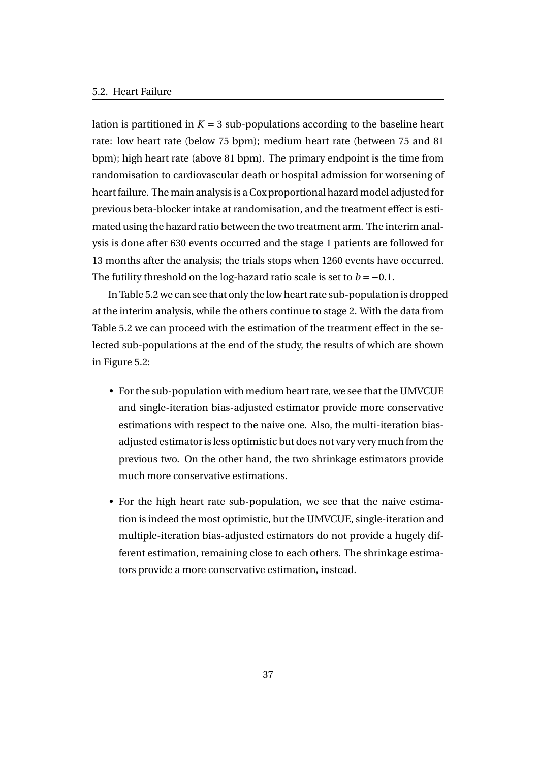lation is partitioned in  $K = 3$  sub-populations according to the baseline heart rate: low heart rate (below 75 bpm); medium heart rate (between 75 and 81 bpm); high heart rate (above 81 bpm). The primary endpoint is the time from randomisation to cardiovascular death or hospital admission for worsening of heart failure. The main analysis is a Cox proportional hazard model adjusted for previous beta-blocker intake at randomisation, and the treatment effect is estimated using the hazard ratio between the two treatment arm. The interim analysis is done after 630 events occurred and the stage 1 patients are followed for 13 months after the analysis; the trials stops when 1260 events have occurred. The futility threshold on the log-hazard ratio scale is set to  $b = -0.1$ .

In Table 5.2 we can see that only the low heart rate sub-population is dropped at the interim analysis, while the others continue to stage 2. With the data from Table 5.2 we can proceed with the estimation of the treatment effect in the selected sub-populations at the end of the study, the results of which are shown in Figure 5.2:

- For the sub-population with medium heart rate, we see that the UMVCUE and single-iteration bias-adjusted estimator provide more conservative estimations with respect to the naive one. Also, the multi-iteration biasadjusted estimator is less optimistic but does not vary very much from the previous two. On the other hand, the two shrinkage estimators provide much more conservative estimations.
- For the high heart rate sub-population, we see that the naive estimation is indeed the most optimistic, but the UMVCUE, single-iteration and multiple-iteration bias-adjusted estimators do not provide a hugely different estimation, remaining close to each others. The shrinkage estimators provide a more conservative estimation, instead.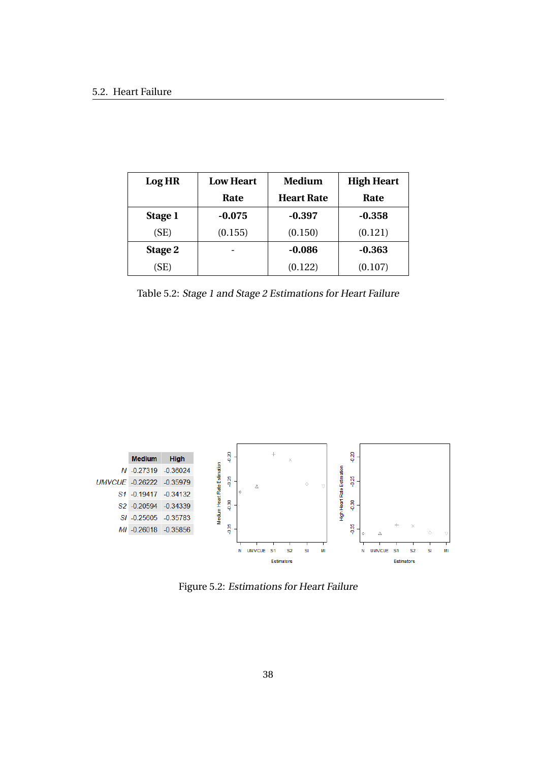| Log HR  | <b>Low Heart</b> | <b>Medium</b>     | <b>High Heart</b> |
|---------|------------------|-------------------|-------------------|
|         | Rate             | <b>Heart Rate</b> | Rate              |
| Stage 1 | $-0.075$         | $-0.397$          | $-0.358$          |
| (SE)    | (0.155)          | (0.150)           | (0.121)           |
| Stage 2 |                  | $-0.086$          | $-0.363$          |
| (SE)    |                  | (0.122)           | (0.107)           |

Table 5.2: Stage 1 and Stage 2 Estimations for Heart Failure



Figure 5.2: Estimations for Heart Failure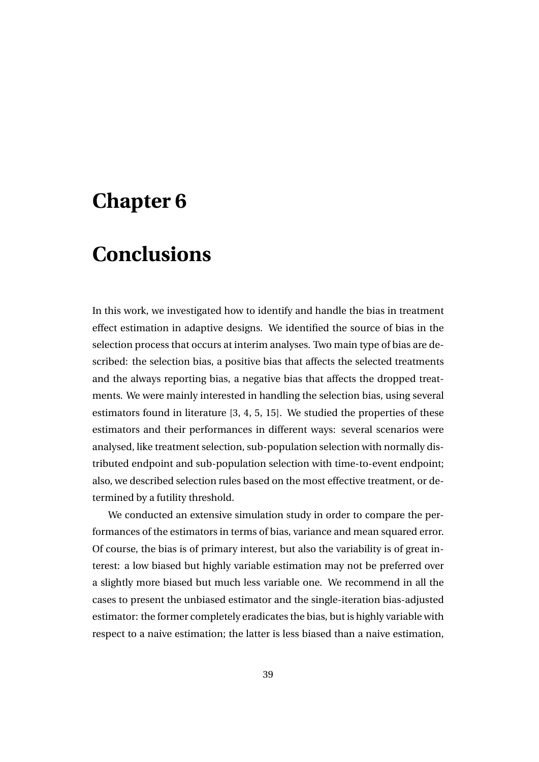## **Chapter 6**

## **Conclusions**

In this work, we investigated how to identify and handle the bias in treatment effect estimation in adaptive designs. We identified the source of bias in the selection process that occurs at interim analyses. Two main type of bias are described: the selection bias, a positive bias that affects the selected treatments and the always reporting bias, a negative bias that affects the dropped treatments. We were mainly interested in handling the selection bias, using several estimators found in literature [3, 4, 5, 15]. We studied the properties of these estimators and their performances in different ways: several scenarios were analysed, like treatment selection, sub-population selection with normally distributed endpoint and sub-population selection with time-to-event endpoint; also, we described selection rules based on the most effective treatment, or determined by a futility threshold.

We conducted an extensive simulation study in order to compare the performances of the estimators in terms of bias, variance and mean squared error. Of course, the bias is of primary interest, but also the variability is of great interest: a low biased but highly variable estimation may not be preferred over a slightly more biased but much less variable one. We recommend in all the cases to present the unbiased estimator and the single-iteration bias-adjusted estimator: the former completely eradicates the bias, but is highly variable with respect to a naive estimation; the latter is less biased than a naive estimation,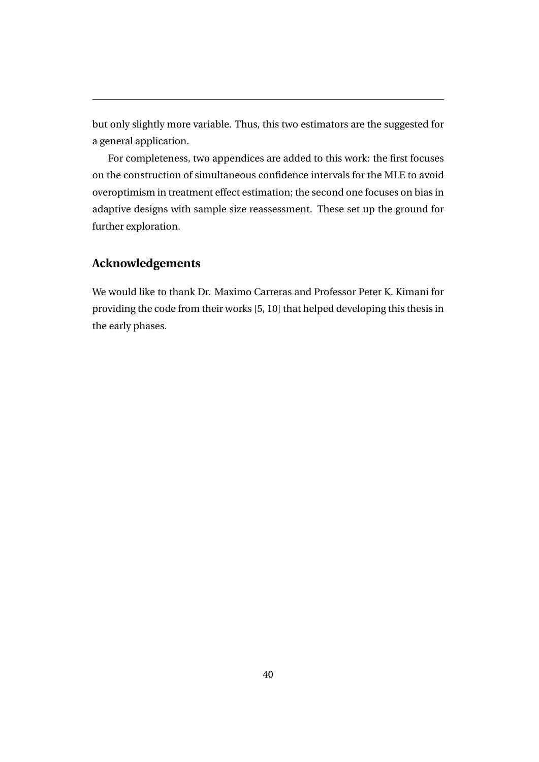but only slightly more variable. Thus, this two estimators are the suggested for a general application.

For completeness, two appendices are added to this work: the first focuses on the construction of simultaneous confidence intervals for the MLE to avoid overoptimism in treatment effect estimation; the second one focuses on bias in adaptive designs with sample size reassessment. These set up the ground for further exploration.

#### **Acknowledgements**

We would like to thank Dr. Maximo Carreras and Professor Peter K. Kimani for providing the code from their works [5, 10] that helped developing this thesis in the early phases.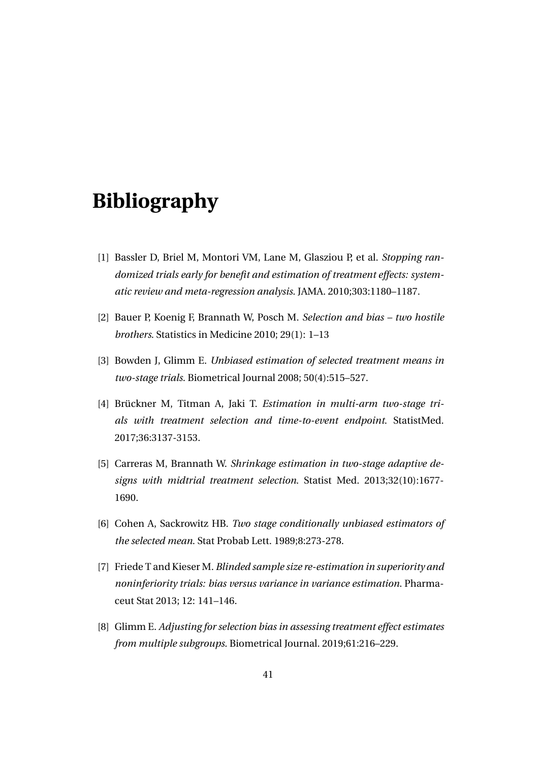# **Bibliography**

- [1] Bassler D, Briel M, Montori VM, Lane M, Glasziou P, et al. *Stopping randomized trials early for benefit and estimation of treatment effects: systematic review and meta-regression analysis*. JAMA. 2010;303:1180–1187.
- [2] Bauer P, Koenig F, Brannath W, Posch M. *Selection and bias two hostile brothers*. Statistics in Medicine 2010; 29(1): 1–13
- [3] Bowden J, Glimm E. *Unbiased estimation of selected treatment means in two-stage trials*. Biometrical Journal 2008; 50(4):515–527.
- [4] Brückner M, Titman A, Jaki T. *Estimation in multi-arm two-stage trials with treatment selection and time-to-event endpoint*. StatistMed. 2017;36:3137-3153.
- [5] Carreras M, Brannath W. *Shrinkage estimation in two-stage adaptive designs with midtrial treatment selection*. Statist Med. 2013;32(10):1677- 1690.
- [6] Cohen A, Sackrowitz HB. *Two stage conditionally unbiased estimators of the selected mean*. Stat Probab Lett. 1989;8:273-278.
- [7] Friede T and Kieser M. *Blinded sample size re-estimation in superiority and noninferiority trials: bias versus variance in variance estimation*. Pharmaceut Stat 2013; 12: 141–146.
- [8] Glimm E. *Adjusting for selection bias in assessing treatment effect estimates from multiple subgroups*. Biometrical Journal. 2019;61:216–229.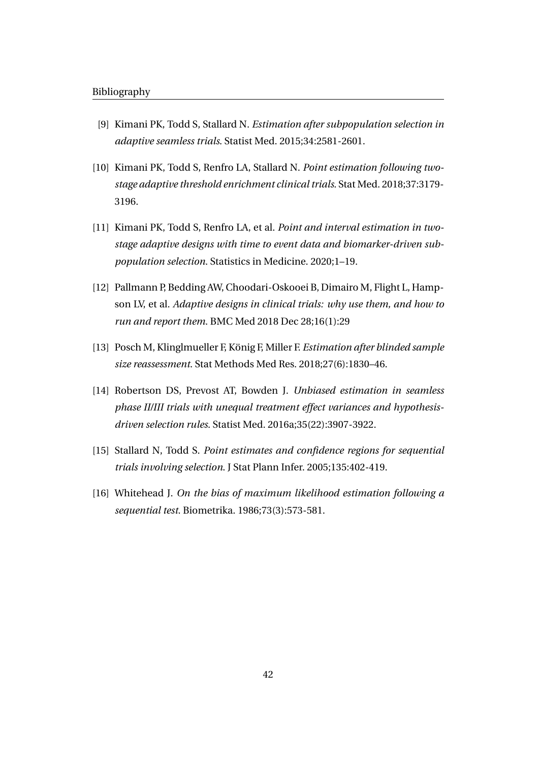- [9] Kimani PK, Todd S, Stallard N. *Estimation after subpopulation selection in adaptive seamless trials*. Statist Med. 2015;34:2581-2601.
- [10] Kimani PK, Todd S, Renfro LA, Stallard N. *Point estimation following twostage adaptive threshold enrichment clinical trials*. Stat Med. 2018;37:3179- 3196.
- [11] Kimani PK, Todd S, Renfro LA, et al. *Point and interval estimation in twostage adaptive designs with time to event data and biomarker-driven subpopulation selection*. Statistics in Medicine. 2020;1–19.
- [12] Pallmann P, Bedding AW, Choodari-Oskooei B, Dimairo M, Flight L, Hampson LV, et al. *Adaptive designs in clinical trials: why use them, and how to run and report them*. BMC Med 2018 Dec 28;16(1):29
- [13] Posch M, Klinglmueller F, König F, Miller F. *Estimation after blinded sample size reassessment*. Stat Methods Med Res. 2018;27(6):1830–46.
- [14] Robertson DS, Prevost AT, Bowden J. *Unbiased estimation in seamless phase II/III trials with unequal treatment effect variances and hypothesisdriven selection rules*. Statist Med. 2016a;35(22):3907-3922.
- [15] Stallard N, Todd S. *Point estimates and confidence regions for sequential trials involving selection*. J Stat Plann Infer. 2005;135:402-419.
- [16] Whitehead J. *On the bias of maximum likelihood estimation following a sequential test.* Biometrika. 1986;73(3):573-581.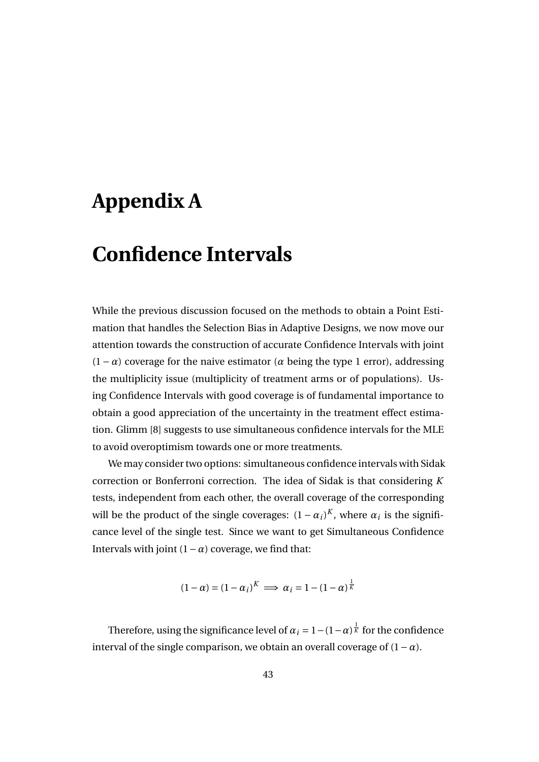# **Appendix A**

## **Confidence Intervals**

While the previous discussion focused on the methods to obtain a Point Estimation that handles the Selection Bias in Adaptive Designs, we now move our attention towards the construction of accurate Confidence Intervals with joint  $(1 - \alpha)$  coverage for the naive estimator ( $\alpha$  being the type 1 error), addressing the multiplicity issue (multiplicity of treatment arms or of populations). Using Confidence Intervals with good coverage is of fundamental importance to obtain a good appreciation of the uncertainty in the treatment effect estimation. Glimm [8] suggests to use simultaneous confidence intervals for the MLE to avoid overoptimism towards one or more treatments.

We may consider two options: simultaneous confidence intervals with Sidak correction or Bonferroni correction. The idea of Sidak is that considering *K* tests, independent from each other, the overall coverage of the corresponding will be the product of the single coverages:  $(1 - \alpha_i)^K$ , where  $\alpha_i$  is the significance level of the single test. Since we want to get Simultaneous Confidence Intervals with joint (1−*α*) coverage, we find that:

$$
(1 - \alpha) = (1 - \alpha_i)^K \implies \alpha_i = 1 - (1 - \alpha)^{\frac{1}{K}}
$$

Therefore, using the significance level of  $\alpha_i = 1 - (1-\alpha)^{\frac{1}{K}}$  for the confidence interval of the single comparison, we obtain an overall coverage of  $(1-\alpha)$ .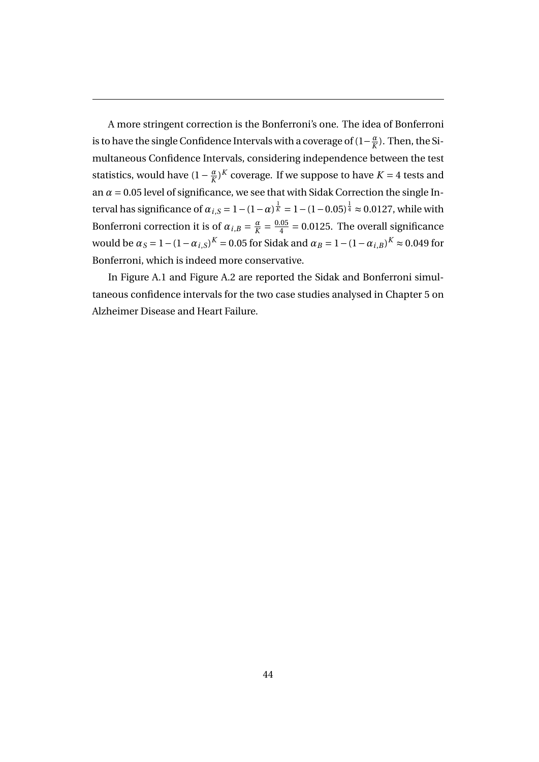A more stringent correction is the Bonferroni's one. The idea of Bonferroni is to have the single Confidence Intervals with a coverage of  $(1-\frac{a}{k})$  $\frac{a}{K}$ ). Then, the Simultaneous Confidence Intervals, considering independence between the test statistics, would have  $(1 - \frac{\alpha}{K})$  $\frac{a}{K}$ <sup>X</sup> coverage. If we suppose to have *K* = 4 tests and an  $\alpha$  = 0.05 level of significance, we see that with Sidak Correction the single Interval has significance of  $\alpha_{i,S}=1-(1-\alpha)^{\frac{1}{K}}=1-(1-0.05)^{\frac{1}{4}}\approx 0.0127,$  while with Bonferroni correction it is of  $\alpha_{i,B} = \frac{\alpha}{K}$  $\frac{\alpha}{K} = \frac{0.05}{4}$  $\frac{.05}{4}$  = 0.0125. The overall significance would be  $\alpha_S = 1 - (1 - \alpha_{i,S})^K = 0.05$  for Sidak and  $\alpha_B = 1 - (1 - \alpha_{i,B})^K \approx 0.049$  for Bonferroni, which is indeed more conservative.

In Figure A.1 and Figure A.2 are reported the Sidak and Bonferroni simultaneous confidence intervals for the two case studies analysed in Chapter 5 on Alzheimer Disease and Heart Failure.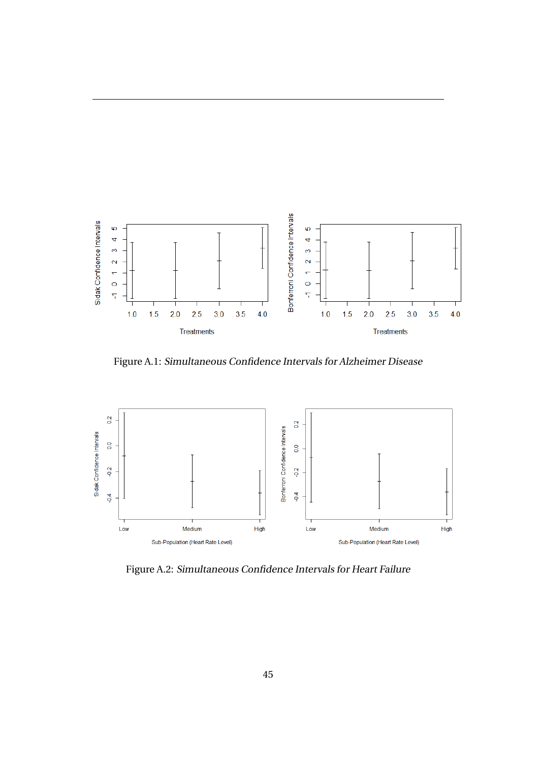

Figure A.1: Simultaneous Confidence Intervals for Alzheimer Disease



Figure A.2: Simultaneous Confidence Intervals for Heart Failure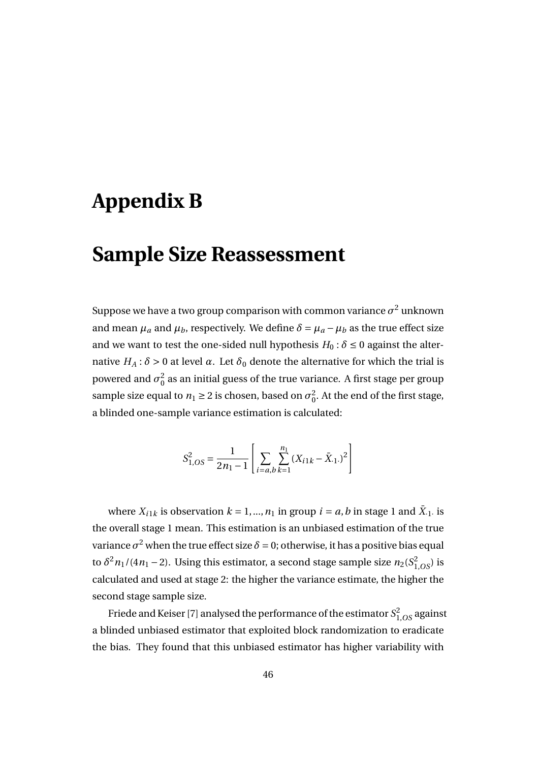# **Appendix B**

### **Sample Size Reassessment**

Suppose we have a two group comparison with common variance  $\sigma^2$  unknown and mean  $\mu_a$  and  $\mu_b$ , respectively. We define  $\delta = \mu_a - \mu_b$  as the true effect size and we want to test the one-sided null hypothesis  $H_0: \delta \leq 0$  against the alternative  $H_A$ : *δ* > 0 at level *α*. Let  $\delta_0$  denote the alternative for which the trial is powered and  $\sigma_0^2$  $\frac{2}{0}$  as an initial guess of the true variance. A first stage per group sample size equal to  $n_1 \geq 2$  is chosen, based on  $\sigma_0^2$  $\frac{2}{0}$ . At the end of the first stage, a blinded one-sample variance estimation is calculated:

$$
S_{1,OS}^{2} = \frac{1}{2n_{1} - 1} \left[ \sum_{i=a,b} \sum_{k=1}^{n_{1}} (X_{i1k} - \bar{X}_{i1})^{2} \right]
$$

where  $X_{i1k}$  is observation  $k = 1, ..., n_1$  in group  $i = a, b$  in stage 1 and  $\bar{X}_{i1}$  is the overall stage 1 mean. This estimation is an unbiased estimation of the true variance  $\sigma^2$  when the true effect size  $\delta$  = 0; otherwise, it has a positive bias equal to  $\delta^2 n_1/(4n_1 - 2)$ . Using this estimator, a second stage sample size  $n_2(S_{1,OS}^2)$  is calculated and used at stage 2: the higher the variance estimate, the higher the second stage sample size.

Friede and Keiser [7] analysed the performance of the estimator *S* 2 1,*OS* against a blinded unbiased estimator that exploited block randomization to eradicate the bias. They found that this unbiased estimator has higher variability with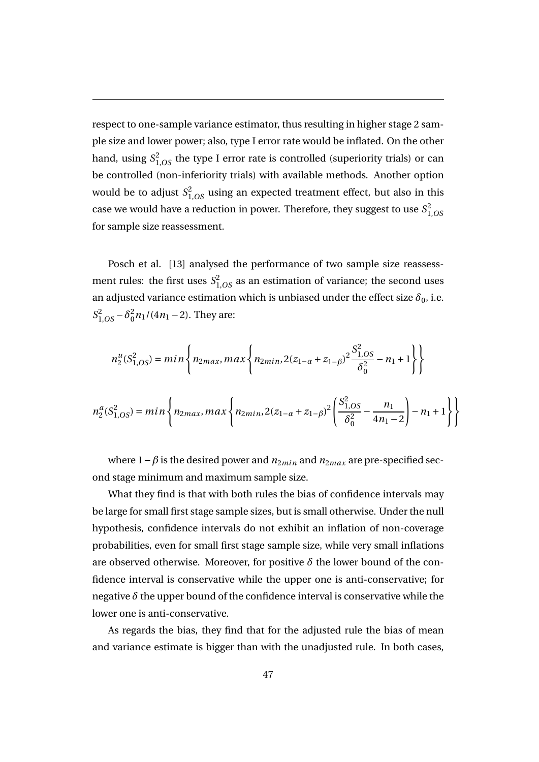respect to one-sample variance estimator, thus resulting in higher stage 2 sample size and lower power; also, type I error rate would be inflated. On the other hand, using  $S_{1,OS}^2$  the type I error rate is controlled (superiority trials) or can be controlled (non-inferiority trials) with available methods. Another option would be to adjust  $S_{1,OS}^2$  using an expected treatment effect, but also in this case we would have a reduction in power. Therefore, they suggest to use *S* 2 1,*OS* for sample size reassessment.

Posch et al. [13] analysed the performance of two sample size reassessment rules: the first uses  $S_{1,OS}^2$  as an estimation of variance; the second uses an adjusted variance estimation which is unbiased under the effect size  $\delta_0$ , i.e.  $S_{1,OS}^2 - \delta_0^2$  $\frac{2}{0}n_1/(4n_1-2)$ . They are:

$$
n_2^u(S_{1,OS}^2) = min\left\{n_{2max}, max\left\{n_{2min}, 2(z_{1-\alpha} + z_{1-\beta})^2 \frac{S_{1,OS}^2}{\delta_0^2} - n_1 + 1\right\}\right\}
$$

$$
n_2^a(S_{1,OS}^2) = min \left\{ n_{2max}, max \left\{ n_{2min}, 2(z_{1-\alpha} + z_{1-\beta})^2 \left( \frac{S_{1,OS}^2}{\delta_0^2} - \frac{n_1}{4n_1 - 2} \right) - n_1 + 1 \right\} \right\}
$$

where  $1 - \beta$  is the desired power and  $n_{2min}$  and  $n_{2max}$  are pre-specified second stage minimum and maximum sample size.

What they find is that with both rules the bias of confidence intervals may be large for small first stage sample sizes, but is small otherwise. Under the null hypothesis, confidence intervals do not exhibit an inflation of non-coverage probabilities, even for small first stage sample size, while very small inflations are observed otherwise. Moreover, for positive  $\delta$  the lower bound of the confidence interval is conservative while the upper one is anti-conservative; for negative  $\delta$  the upper bound of the confidence interval is conservative while the lower one is anti-conservative.

As regards the bias, they find that for the adjusted rule the bias of mean and variance estimate is bigger than with the unadjusted rule. In both cases,